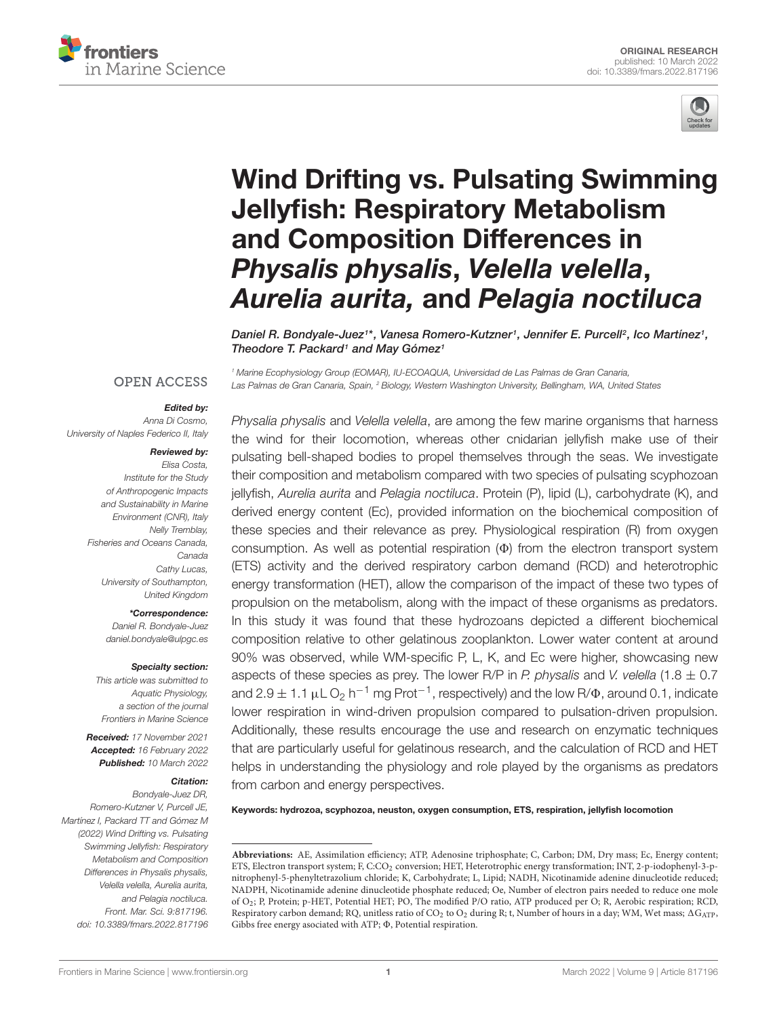



# [Wind Drifting vs. Pulsating Swimming](https://www.frontiersin.org/articles/10.3389/fmars.2022.817196/full) Jellyfish: Respiratory Metabolism and Composition Differences in Physalis physalis, Velella velella, Aurelia aurita, and Pelagia noctiluca

Daniel R. Bondyale-Juez1\*, Vanesa Romero-Kutzner1, Jennifer E. Purcell<sup>2</sup>, Ico Martínez1, Theodore T. Packard<sup>1</sup> and May Gómez<sup>1</sup>

<sup>1</sup> Marine Ecophysiology Group (EOMAR), IU-ECOAQUA, Universidad de Las Palmas de Gran Canaria, Las Palmas de Gran Canaria, Spain, <sup>2</sup> Biology, Western Washington University, Bellingham, WA, United States

# **OPEN ACCESS**

#### Edited by:

Anna Di Cosmo, University of Naples Federico II, Italy

#### Reviewed by:

Elisa Costa, Institute for the Study of Anthropogenic Impacts and Sustainability in Marine Environment (CNR), Italy Nelly Tremblay, Fisheries and Oceans Canada, Canada Cathy Lucas, University of Southampton, United Kingdom

\*Correspondence:

Daniel R. Bondyale-Juez [daniel.bondyale@ulpgc.es](mailto:daniel.bondyale@ulpgc.es)

#### Specialty section:

This article was submitted to Aquatic Physiology, a section of the journal Frontiers in Marine Science

Received: 17 November 2021 Accepted: 16 February 2022 Published: 10 March 2022

#### Citation:

Bondyale-Juez DR, Romero-Kutzner V, Purcell JE, Martínez I, Packard TT and Gómez M (2022) Wind Drifting vs. Pulsating Swimming Jellyfish: Respiratory Metabolism and Composition Differences in Physalis physalis, Velella velella, Aurelia aurita, and Pelagia noctiluca. Front. Mar. Sci. 9:817196. doi: [10.3389/fmars.2022.817196](https://doi.org/10.3389/fmars.2022.817196) Physalia physalis and Velella velella, are among the few marine organisms that harness the wind for their locomotion, whereas other cnidarian jellyfish make use of their pulsating bell-shaped bodies to propel themselves through the seas. We investigate their composition and metabolism compared with two species of pulsating scyphozoan jellyfish, Aurelia aurita and Pelagia noctiluca. Protein (P), lipid (L), carbohydrate (K), and derived energy content (Ec), provided information on the biochemical composition of these species and their relevance as prey. Physiological respiration (R) from oxygen consumption. As well as potential respiration  $(\Phi)$  from the electron transport system (ETS) activity and the derived respiratory carbon demand (RCD) and heterotrophic energy transformation (HET), allow the comparison of the impact of these two types of propulsion on the metabolism, along with the impact of these organisms as predators. In this study it was found that these hydrozoans depicted a different biochemical composition relative to other gelatinous zooplankton. Lower water content at around 90% was observed, while WM-specific P, L, K, and Ec were higher, showcasing new aspects of these species as prey. The lower R/P in P. physalis and V. velella (1.8  $\pm$  0.7 and 2.9  $\pm$  1.1  $\mu$ L $O_2$  h<sup>-1</sup> mg Prot<sup>-1</sup>, respectively) and the low R/ $\Phi$ , around 0.1, indicate lower respiration in wind-driven propulsion compared to pulsation-driven propulsion. Additionally, these results encourage the use and research on enzymatic techniques that are particularly useful for gelatinous research, and the calculation of RCD and HET helps in understanding the physiology and role played by the organisms as predators from carbon and energy perspectives.

Keywords: hydrozoa, scyphozoa, neuston, oxygen consumption, ETS, respiration, jellyfish locomotion

**Abbreviations:** AE, Assimilation efficiency; ATP, Adenosine triphosphate; C, Carbon; DM, Dry mass; Ec, Energy content; ETS, Electron transport system; F, C:CO<sub>2</sub> conversion; HET, Heterotrophic energy transformation; INT, 2-p-iodophenyl-3-pnitrophenyl-5-phenyltetrazolium chloride; K, Carbohydrate; L, Lipid; NADH, Nicotinamide adenine dinucleotide reduced; NADPH, Nicotinamide adenine dinucleotide phosphate reduced; Oe, Number of electron pairs needed to reduce one mole of O2; P, Protein; p-HET, Potential HET; PO, The modified P/O ratio, ATP produced per O; R, Aerobic respiration; RCD, Respiratory carbon demand; RQ, unitless ratio of CO<sub>2</sub> to O<sub>2</sub> during R; t, Number of hours in a day; WM, Wet mass;  $\Delta G_{ATP}$ , Gibbs free energy asociated with ATP;  $\Phi$ , Potential respiration.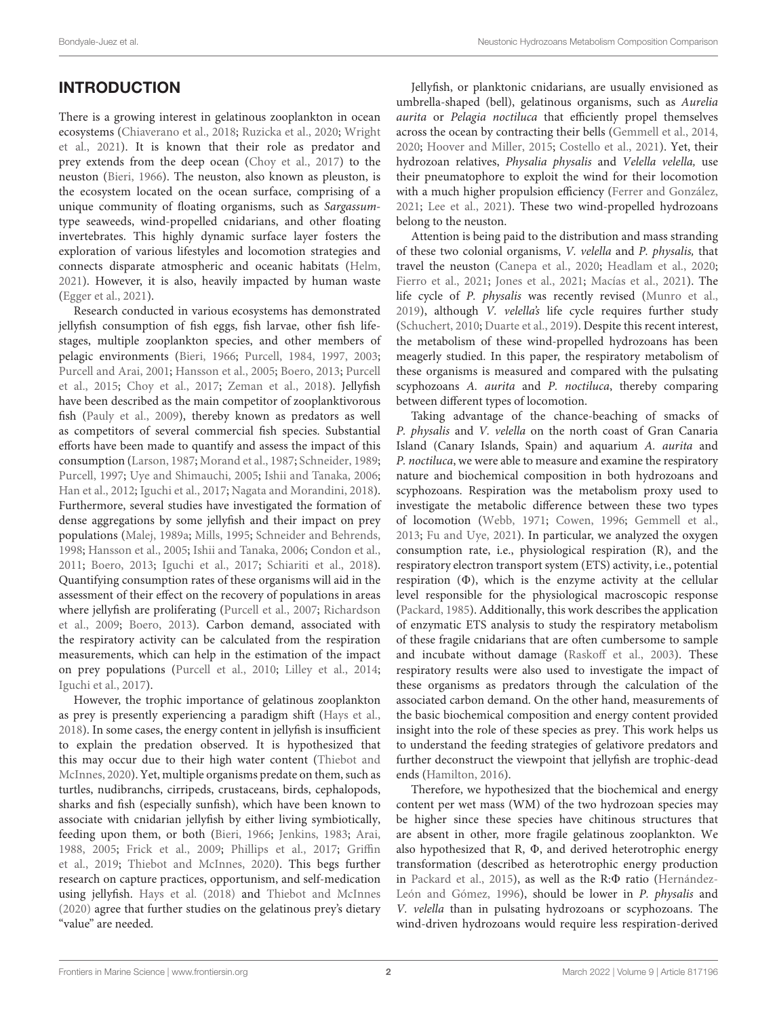# **INTRODUCTION**

There is a growing interest in gelatinous zooplankton in ocean ecosystems [\(Chiaverano et al.,](#page-13-0) [2018;](#page-13-0) [Ruzicka et al.,](#page-15-0) [2020;](#page-15-0) [Wright](#page-16-0) [et al.,](#page-16-0) [2021\)](#page-16-0). It is known that their role as predator and prey extends from the deep ocean [\(Choy et al.,](#page-13-1) [2017\)](#page-13-1) to the neuston [\(Bieri,](#page-12-0) [1966\)](#page-12-0). The neuston, also known as pleuston, is the ecosystem located on the ocean surface, comprising of a unique community of floating organisms, such as Sargassumtype seaweeds, wind-propelled cnidarians, and other floating invertebrates. This highly dynamic surface layer fosters the exploration of various lifestyles and locomotion strategies and connects disparate atmospheric and oceanic habitats [\(Helm,](#page-13-2) [2021\)](#page-13-2). However, it is also, heavily impacted by human waste [\(Egger et al.,](#page-13-3) [2021\)](#page-13-3).

Research conducted in various ecosystems has demonstrated jellyfish consumption of fish eggs, fish larvae, other fish lifestages, multiple zooplankton species, and other members of pelagic environments [\(Bieri,](#page-12-0) [1966;](#page-12-0) [Purcell,](#page-15-1) [1984,](#page-15-1) [1997,](#page-15-2) [2003;](#page-15-3) [Purcell and Arai,](#page-15-4) [2001;](#page-15-4) [Hansson et al.,](#page-13-4) [2005;](#page-13-4) [Boero,](#page-12-1) [2013;](#page-12-1) [Purcell](#page-15-5) [et al.,](#page-15-5) [2015;](#page-15-5) [Choy et al.,](#page-13-1) [2017;](#page-13-1) [Zeman et al.,](#page-16-1) [2018\)](#page-16-1). Jellyfish have been described as the main competitor of zooplanktivorous fish [\(Pauly et al.,](#page-15-6) [2009\)](#page-15-6), thereby known as predators as well as competitors of several commercial fish species. Substantial efforts have been made to quantify and assess the impact of this consumption [\(Larson,](#page-14-0) [1987;](#page-14-0) [Morand et al.,](#page-15-7) [1987;](#page-15-7) [Schneider,](#page-15-8) [1989;](#page-15-8) [Purcell,](#page-15-2) [1997;](#page-15-2) [Uye and Shimauchi,](#page-16-2) [2005;](#page-16-2) [Ishii and Tanaka,](#page-14-1) [2006;](#page-14-1) [Han et al.,](#page-13-5) [2012;](#page-13-5) [Iguchi et al.,](#page-14-2) [2017;](#page-14-2) [Nagata and Morandini,](#page-15-9) [2018\)](#page-15-9). Furthermore, several studies have investigated the formation of dense aggregations by some jellyfish and their impact on prey populations [\(Malej,](#page-14-3) [1989a;](#page-14-3) [Mills,](#page-14-4) [1995;](#page-14-4) [Schneider and Behrends,](#page-15-10) [1998;](#page-15-10) [Hansson et al.,](#page-13-4) [2005;](#page-13-4) [Ishii and Tanaka,](#page-14-1) [2006;](#page-14-1) [Condon et al.,](#page-13-6) [2011;](#page-13-6) [Boero,](#page-12-1) [2013;](#page-12-1) [Iguchi et al.,](#page-14-2) [2017;](#page-14-2) [Schiariti et al.,](#page-15-11) [2018\)](#page-15-11). Quantifying consumption rates of these organisms will aid in the assessment of their effect on the recovery of populations in areas where jellyfish are proliferating [\(Purcell et al.,](#page-15-12) [2007;](#page-15-12) [Richardson](#page-15-13) [et al.,](#page-15-13) [2009;](#page-15-13) [Boero,](#page-12-1) [2013\)](#page-12-1). Carbon demand, associated with the respiratory activity can be calculated from the respiration measurements, which can help in the estimation of the impact on prey populations [\(Purcell et al.,](#page-15-14) [2010;](#page-15-14) [Lilley et al.,](#page-14-5) [2014;](#page-14-5) [Iguchi et al.,](#page-14-2) [2017\)](#page-14-2).

However, the trophic importance of gelatinous zooplankton as prey is presently experiencing a paradigm shift [\(Hays et al.,](#page-13-7) [2018\)](#page-13-7). In some cases, the energy content in jellyfish is insufficient to explain the predation observed. It is hypothesized that this may occur due to their high water content [\(Thiebot and](#page-15-15) [McInnes,](#page-15-15) [2020\)](#page-15-15). Yet, multiple organisms predate on them, such as turtles, nudibranchs, cirripeds, crustaceans, birds, cephalopods, sharks and fish (especially sunfish), which have been known to associate with cnidarian jellyfish by either living symbiotically, feeding upon them, or both [\(Bieri,](#page-12-0) [1966;](#page-12-0) [Jenkins,](#page-14-6) [1983;](#page-14-6) [Arai,](#page-12-2) [1988,](#page-12-2) [2005;](#page-12-3) [Frick et al.,](#page-13-8) [2009;](#page-13-8) [Phillips et al.,](#page-15-16) [2017;](#page-15-16) [Griffin](#page-13-9) [et al.,](#page-13-9) [2019;](#page-13-9) [Thiebot and McInnes,](#page-15-15) [2020\)](#page-15-15). This begs further research on capture practices, opportunism, and self-medication using jellyfish. [Hays et al.](#page-13-7) [\(2018\)](#page-13-7) and [Thiebot and McInnes](#page-15-15) [\(2020\)](#page-15-15) agree that further studies on the gelatinous prey's dietary "value" are needed.

Jellyfish, or planktonic cnidarians, are usually envisioned as umbrella-shaped (bell), gelatinous organisms, such as Aurelia aurita or Pelagia noctiluca that efficiently propel themselves across the ocean by contracting their bells [\(Gemmell et al.,](#page-13-10) [2014,](#page-13-10) [2020;](#page-13-11) [Hoover and Miller,](#page-14-7) [2015;](#page-14-7) [Costello et al.,](#page-13-12) [2021\)](#page-13-12). Yet, their hydrozoan relatives, Physalia physalis and Velella velella, use their pneumatophore to exploit the wind for their locomotion with a much higher propulsion efficiency [\(Ferrer and González,](#page-13-13) [2021;](#page-13-13) [Lee et al.,](#page-14-8) [2021\)](#page-14-8). These two wind-propelled hydrozoans belong to the neuston.

Attention is being paid to the distribution and mass stranding of these two colonial organisms, V. velella and P. physalis, that travel the neuston [\(Canepa et al.,](#page-12-4) [2020;](#page-12-4) [Headlam et al.,](#page-13-14) [2020;](#page-13-14) [Fierro et al.,](#page-13-15) [2021;](#page-13-15) [Jones et al.,](#page-14-9) [2021;](#page-14-9) [Macías et al.,](#page-14-10) [2021\)](#page-14-10). The life cycle of P. physalis was recently revised [\(Munro et al.,](#page-15-17) [2019\)](#page-15-17), although V. velella's life cycle requires further study [\(Schuchert,](#page-15-18) [2010;](#page-15-18) [Duarte et al.,](#page-13-16) [2019\)](#page-13-16). Despite this recent interest, the metabolism of these wind-propelled hydrozoans has been meagerly studied. In this paper, the respiratory metabolism of these organisms is measured and compared with the pulsating scyphozoans A. aurita and P. noctiluca, thereby comparing between different types of locomotion.

Taking advantage of the chance-beaching of smacks of P. physalis and V. velella on the north coast of Gran Canaria Island (Canary Islands, Spain) and aquarium A. aurita and P. noctiluca, we were able to measure and examine the respiratory nature and biochemical composition in both hydrozoans and scyphozoans. Respiration was the metabolism proxy used to investigate the metabolic difference between these two types of locomotion [\(Webb,](#page-16-3) [1971;](#page-16-3) [Cowen,](#page-13-17) [1996;](#page-13-17) [Gemmell et al.,](#page-13-18) [2013;](#page-13-18) [Fu and Uye,](#page-13-19) [2021\)](#page-13-19). In particular, we analyzed the oxygen consumption rate, i.e., physiological respiration (R), and the respiratory electron transport system (ETS) activity, i.e., potential respiration  $(\Phi)$ , which is the enzyme activity at the cellular level responsible for the physiological macroscopic response [\(Packard,](#page-15-19) [1985\)](#page-15-19). Additionally, this work describes the application of enzymatic ETS analysis to study the respiratory metabolism of these fragile cnidarians that are often cumbersome to sample and incubate without damage [\(Raskoff et al.,](#page-15-20) [2003\)](#page-15-20). These respiratory results were also used to investigate the impact of these organisms as predators through the calculation of the associated carbon demand. On the other hand, measurements of the basic biochemical composition and energy content provided insight into the role of these species as prey. This work helps us to understand the feeding strategies of gelativore predators and further deconstruct the viewpoint that jellyfish are trophic-dead ends [\(Hamilton,](#page-13-20) [2016\)](#page-13-20).

Therefore, we hypothesized that the biochemical and energy content per wet mass (WM) of the two hydrozoan species may be higher since these species have chitinous structures that are absent in other, more fragile gelatinous zooplankton. We also hypothesized that R,  $\Phi$ , and derived heterotrophic energy transformation (described as heterotrophic energy production in [Packard et al.,](#page-15-21) [2015\)](#page-15-21), as well as the  $R:\Phi$  ratio [\(Hernández-](#page-13-21)[León and Gómez,](#page-13-21) [1996\)](#page-13-21), should be lower in P. physalis and V. velella than in pulsating hydrozoans or scyphozoans. The wind-driven hydrozoans would require less respiration-derived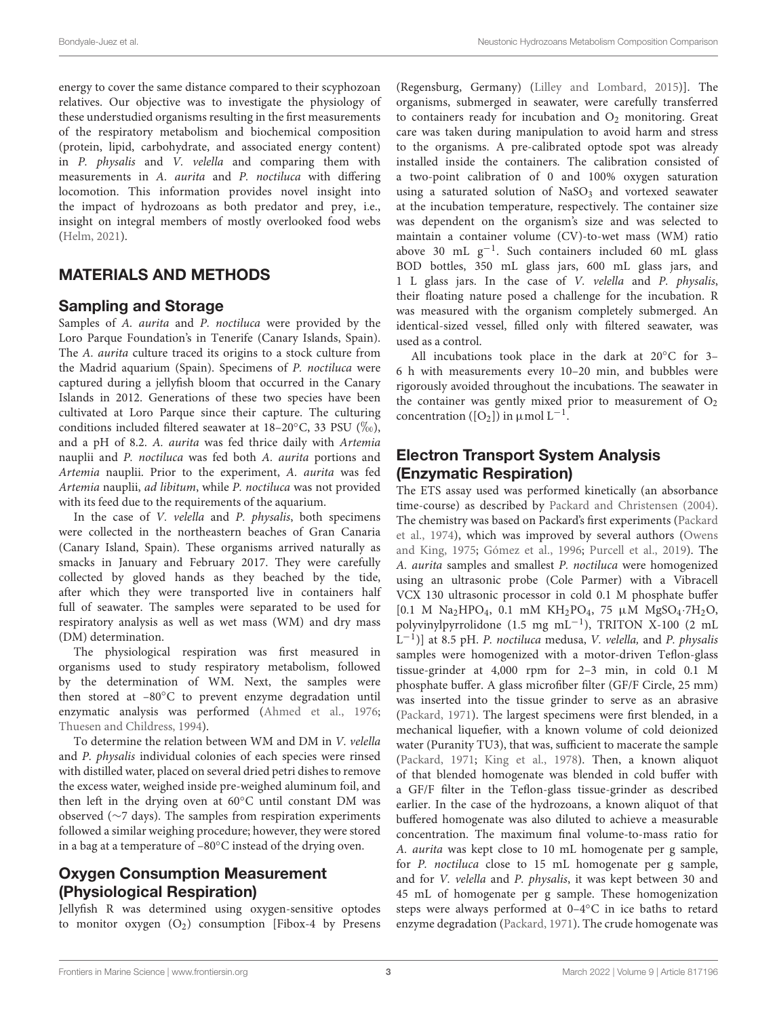energy to cover the same distance compared to their scyphozoan relatives. Our objective was to investigate the physiology of these understudied organisms resulting in the first measurements of the respiratory metabolism and biochemical composition (protein, lipid, carbohydrate, and associated energy content) in P. physalis and V. velella and comparing them with measurements in A. aurita and P. noctiluca with differing locomotion. This information provides novel insight into the impact of hydrozoans as both predator and prey, i.e., insight on integral members of mostly overlooked food webs [\(Helm,](#page-13-2) [2021\)](#page-13-2).

# MATERIALS AND METHODS

## Sampling and Storage

Samples of A. aurita and P. noctiluca were provided by the Loro Parque Foundation's in Tenerife (Canary Islands, Spain). The A. aurita culture traced its origins to a stock culture from the Madrid aquarium (Spain). Specimens of P. noctiluca were captured during a jellyfish bloom that occurred in the Canary Islands in 2012. Generations of these two species have been cultivated at Loro Parque since their capture. The culturing conditions included filtered seawater at 18–20 $\degree$ C, 33 PSU ( $\%$ <sub>0</sub>), and a pH of 8.2. A. aurita was fed thrice daily with Artemia nauplii and P. noctiluca was fed both A. aurita portions and Artemia nauplii. Prior to the experiment, A. aurita was fed Artemia nauplii, ad libitum, while P. noctiluca was not provided with its feed due to the requirements of the aquarium.

In the case of V. velella and P. physalis, both specimens were collected in the northeastern beaches of Gran Canaria (Canary Island, Spain). These organisms arrived naturally as smacks in January and February 2017. They were carefully collected by gloved hands as they beached by the tide, after which they were transported live in containers half full of seawater. The samples were separated to be used for respiratory analysis as well as wet mass (WM) and dry mass (DM) determination.

The physiological respiration was first measured in organisms used to study respiratory metabolism, followed by the determination of WM. Next, the samples were then stored at –80◦C to prevent enzyme degradation until enzymatic analysis was performed [\(Ahmed et al.,](#page-12-5) [1976;](#page-12-5) [Thuesen and Childress,](#page-15-22) [1994\)](#page-15-22).

To determine the relation between WM and DM in V. velella and P. physalis individual colonies of each species were rinsed with distilled water, placed on several dried petri dishes to remove the excess water, weighed inside pre-weighed aluminum foil, and then left in the drying oven at 60◦C until constant DM was observed (∼7 days). The samples from respiration experiments followed a similar weighing procedure; however, they were stored in a bag at a temperature of –80◦C instead of the drying oven.

# Oxygen Consumption Measurement (Physiological Respiration)

Jellyfish R was determined using oxygen-sensitive optodes to monitor oxygen  $(O_2)$  consumption [Fibox-4 by Presens

(Regensburg, Germany) [\(Lilley and Lombard,](#page-14-11) [2015\)](#page-14-11)]. The organisms, submerged in seawater, were carefully transferred to containers ready for incubation and  $O_2$  monitoring. Great care was taken during manipulation to avoid harm and stress to the organisms. A pre-calibrated optode spot was already installed inside the containers. The calibration consisted of a two-point calibration of 0 and 100% oxygen saturation using a saturated solution of  $NaSO<sub>3</sub>$  and vortexed seawater at the incubation temperature, respectively. The container size was dependent on the organism's size and was selected to maintain a container volume (CV)-to-wet mass (WM) ratio above 30 mL  $g^{-1}$ . Such containers included 60 mL glass BOD bottles, 350 mL glass jars, 600 mL glass jars, and 1 L glass jars. In the case of V. velella and P. physalis, their floating nature posed a challenge for the incubation. R was measured with the organism completely submerged. An identical-sized vessel, filled only with filtered seawater, was used as a control.

All incubations took place in the dark at 20◦C for 3– 6 h with measurements every 10–20 min, and bubbles were rigorously avoided throughout the incubations. The seawater in the container was gently mixed prior to measurement of  $O_2$ concentration ( $[O_2]$ ) in  $\mu$ mol L<sup>-1</sup>.

# Electron Transport System Analysis (Enzymatic Respiration)

The ETS assay used was performed kinetically (an absorbance time-course) as described by [Packard and Christensen](#page-15-23) [\(2004\)](#page-15-23). The chemistry was based on Packard's first experiments [\(Packard](#page-15-24) [et al.,](#page-15-24) [1974\)](#page-15-24), which was improved by several authors [\(Owens](#page-15-25) [and King,](#page-15-25) [1975;](#page-15-25) [Gómez et al.,](#page-13-22) [1996;](#page-13-22) [Purcell et al.,](#page-15-26) [2019\)](#page-15-26). The A. aurita samples and smallest P. noctiluca were homogenized using an ultrasonic probe (Cole Parmer) with a Vibracell VCX 130 ultrasonic processor in cold 0.1 M phosphate buffer [0.1 M Na2HPO4, 0.1 mM KH2PO4, 75 µM MgSO4·7H2O, polyvinylpyrrolidone (1.5 mg mL−<sup>1</sup> ), TRITON X-100 (2 mL  $\tilde{L}^{-1}$ )] at 8.5 pH. P. noctiluca medusa, V. velella, and P. physalis samples were homogenized with a motor-driven Teflon-glass tissue-grinder at 4,000 rpm for 2–3 min, in cold 0.1 M phosphate buffer. A glass microfiber filter (GF/F Circle, 25 mm) was inserted into the tissue grinder to serve as an abrasive [\(Packard,](#page-15-27) [1971\)](#page-15-27). The largest specimens were first blended, in a mechanical liquefier, with a known volume of cold deionized water (Puranity TU3), that was, sufficient to macerate the sample [\(Packard,](#page-15-27) [1971;](#page-15-27) [King et al.,](#page-14-12) [1978\)](#page-14-12). Then, a known aliquot of that blended homogenate was blended in cold buffer with a GF/F filter in the Teflon-glass tissue-grinder as described earlier. In the case of the hydrozoans, a known aliquot of that buffered homogenate was also diluted to achieve a measurable concentration. The maximum final volume-to-mass ratio for A. aurita was kept close to 10 mL homogenate per g sample, for P. noctiluca close to 15 mL homogenate per g sample, and for V. velella and P. physalis, it was kept between 30 and 45 mL of homogenate per g sample. These homogenization steps were always performed at 0–4◦C in ice baths to retard enzyme degradation [\(Packard,](#page-15-27) [1971\)](#page-15-27). The crude homogenate was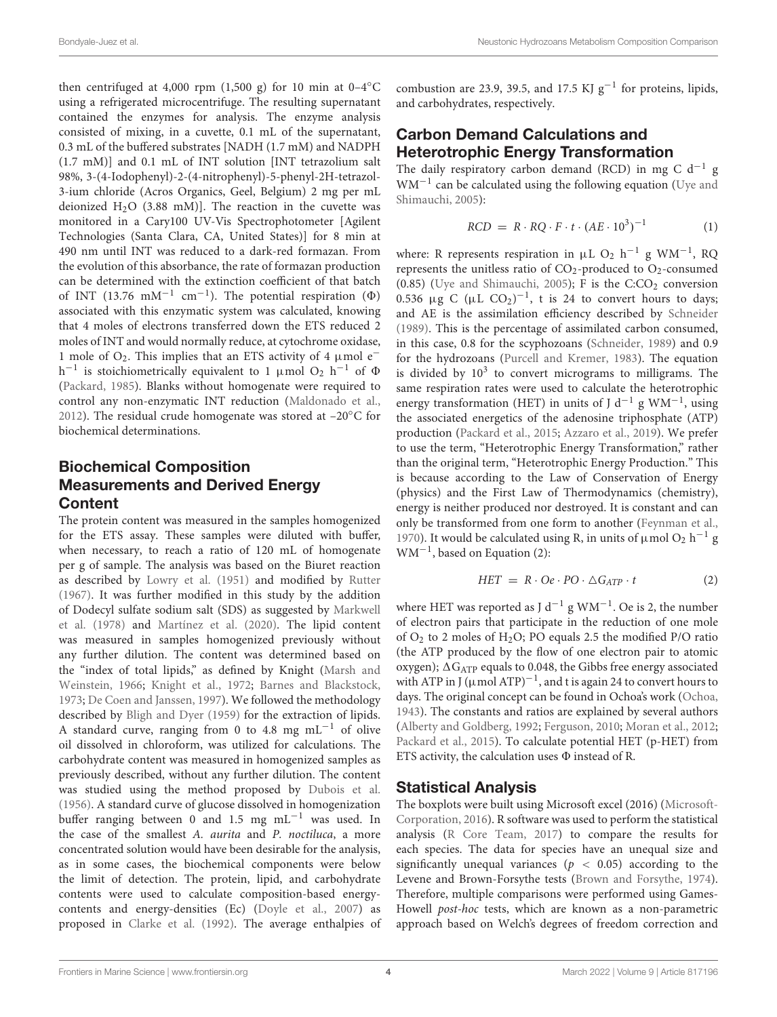then centrifuged at 4,000 rpm (1,500 g) for 10 min at  $0-4\degree$ C using a refrigerated microcentrifuge. The resulting supernatant contained the enzymes for analysis. The enzyme analysis consisted of mixing, in a cuvette, 0.1 mL of the supernatant, 0.3 mL of the buffered substrates [NADH (1.7 mM) and NADPH (1.7 mM)] and 0.1 mL of INT solution [INT tetrazolium salt 98%, 3-(4-Iodophenyl)-2-(4-nitrophenyl)-5-phenyl-2H-tetrazol-3-ium chloride (Acros Organics, Geel, Belgium) 2 mg per mL deionized  $H<sub>2</sub>O$  (3.88 mM)]. The reaction in the cuvette was monitored in a Cary100 UV-Vis Spectrophotometer [Agilent Technologies (Santa Clara, CA, United States)] for 8 min at 490 nm until INT was reduced to a dark-red formazan. From the evolution of this absorbance, the rate of formazan production can be determined with the extinction coefficient of that batch of INT (13.76 mM<sup>-1</sup> cm<sup>-1</sup>). The potential respiration ( $\Phi$ ) associated with this enzymatic system was calculated, knowing that 4 moles of electrons transferred down the ETS reduced 2 moles of INT and would normally reduce, at cytochrome oxidase, 1 mole of  $O_2$ . This implies that an ETS activity of 4 µmol  $e^$ h<sup>-1</sup> is stoichiometrically equivalent to 1 µmol O<sub>2</sub> h<sup>-1</sup> of  $\Phi$ [\(Packard,](#page-15-19) [1985\)](#page-15-19). Blanks without homogenate were required to control any non-enzymatic INT reduction [\(Maldonado et al.,](#page-14-13) [2012\)](#page-14-13). The residual crude homogenate was stored at  $-20^{\circ}$ C for biochemical determinations.

# Biochemical Composition Measurements and Derived Energy **Content**

The protein content was measured in the samples homogenized for the ETS assay. These samples were diluted with buffer, when necessary, to reach a ratio of 120 mL of homogenate per g of sample. The analysis was based on the Biuret reaction as described by [Lowry et al.](#page-14-14) [\(1951\)](#page-14-14) and modified by [Rutter](#page-15-28) [\(1967\)](#page-15-28). It was further modified in this study by the addition of Dodecyl sulfate sodium salt (SDS) as suggested by [Markwell](#page-14-15) [et al.](#page-14-15) [\(1978\)](#page-14-15) and [Martínez et al.](#page-14-16) [\(2020\)](#page-14-16). The lipid content was measured in samples homogenized previously without any further dilution. The content was determined based on the "index of total lipids," as defined by Knight [\(Marsh and](#page-14-17) [Weinstein,](#page-14-17) [1966;](#page-14-17) [Knight et al.,](#page-14-18) [1972;](#page-14-18) [Barnes and Blackstock,](#page-12-6) [1973;](#page-12-6) [De Coen and Janssen,](#page-13-23) [1997\)](#page-13-23). We followed the methodology described by [Bligh and Dyer](#page-12-7) [\(1959\)](#page-12-7) for the extraction of lipids. A standard curve, ranging from 0 to 4.8 mg mL<sup>-1</sup> of olive oil dissolved in chloroform, was utilized for calculations. The carbohydrate content was measured in homogenized samples as previously described, without any further dilution. The content was studied using the method proposed by [Dubois et al.](#page-13-24) [\(1956\)](#page-13-24). A standard curve of glucose dissolved in homogenization buffer ranging between 0 and 1.5 mg mL−<sup>1</sup> was used. In the case of the smallest A. aurita and P. noctiluca, a more concentrated solution would have been desirable for the analysis, as in some cases, the biochemical components were below the limit of detection. The protein, lipid, and carbohydrate contents were used to calculate composition-based energycontents and energy-densities (Ec) [\(Doyle et al.,](#page-13-25) [2007\)](#page-13-25) as proposed in [Clarke et al.](#page-13-26) [\(1992\)](#page-13-26). The average enthalpies of combustion are 23.9, 39.5, and 17.5 KJ  $g^{-1}$  for proteins, lipids, and carbohydrates, respectively.

# Carbon Demand Calculations and Heterotrophic Energy Transformation

The daily respiratory carbon demand (RCD) in mg C d<sup>-1</sup> g WM−<sup>1</sup> can be calculated using the following equation [\(Uye and](#page-16-2) [Shimauchi,](#page-16-2) [2005\)](#page-16-2):

$$
RCD = R \cdot RQ \cdot F \cdot t \cdot (AE \cdot 10^3)^{-1}
$$
 (1)

where: R represents respiration in  $\mu$ L O<sub>2</sub> h<sup>-1</sup> g WM<sup>-1</sup>, RQ represents the unitless ratio of  $CO_2$ -produced to  $O_2$ -consumed (0.85) [\(Uye and Shimauchi,](#page-16-2) [2005\)](#page-16-2); F is the  $C:CO<sub>2</sub>$  conversion 0.536  $\mu$ g C ( $\mu$ L CO<sub>2</sub>)<sup>-1</sup>, t is 24 to convert hours to days; and AE is the assimilation efficiency described by [Schneider](#page-15-8) [\(1989\)](#page-15-8). This is the percentage of assimilated carbon consumed, in this case, 0.8 for the scyphozoans [\(Schneider,](#page-15-8) [1989\)](#page-15-8) and 0.9 for the hydrozoans [\(Purcell and Kremer,](#page-15-29) [1983\)](#page-15-29). The equation is divided by  $10^3$  to convert micrograms to milligrams. The same respiration rates were used to calculate the heterotrophic energy transformation (HET) in units of J d<sup>-1</sup> g WM<sup>-1</sup>, using the associated energetics of the adenosine triphosphate (ATP) production [\(Packard et al.,](#page-15-21) [2015;](#page-15-21) [Azzaro et al.,](#page-12-8) [2019\)](#page-12-8). We prefer to use the term, "Heterotrophic Energy Transformation," rather than the original term, "Heterotrophic Energy Production." This is because according to the Law of Conservation of Energy (physics) and the First Law of Thermodynamics (chemistry), energy is neither produced nor destroyed. It is constant and can only be transformed from one form to another [\(Feynman et al.,](#page-13-27) [1970\)](#page-13-27). It would be calculated using R, in units of  $\mu$  mol O<sub>2</sub> h<sup>-1</sup> g WM−<sup>1</sup> , based on Equation (2):

$$
HET = R \cdot Oe \cdot PO \cdot \Delta G_{ATP} \cdot t \tag{2}
$$

where HET was reported as J d<sup>-1</sup> g WM<sup>-1</sup>. Oe is 2, the number of electron pairs that participate in the reduction of one mole of  $O_2$  to 2 moles of  $H_2O$ ; PO equals 2.5 the modified P/O ratio (the ATP produced by the flow of one electron pair to atomic oxygen);  $\Delta G_{ATP}$  equals to 0.048, the Gibbs free energy associated with ATP in J ( $\mu$ mol ATP)<sup>-1</sup>, and t is again 24 to convert hours to days. The original concept can be found in Ochoa's work [\(Ochoa,](#page-15-30) [1943\)](#page-15-30). The constants and ratios are explained by several authors [\(Alberty and Goldberg,](#page-12-9) [1992;](#page-12-9) [Ferguson,](#page-13-28) [2010;](#page-13-28) [Moran et al.,](#page-15-31) [2012;](#page-15-31) [Packard et al.,](#page-15-21) [2015\)](#page-15-21). To calculate potential HET (p-HET) from ETS activity, the calculation uses  $\Phi$  instead of R.

## Statistical Analysis

The boxplots were built using Microsoft excel (2016) [\(Microsoft-](#page-14-19)[Corporation,](#page-14-19) [2016\)](#page-14-19). R software was used to perform the statistical analysis [\(R Core Team,](#page-15-32) [2017\)](#page-15-32) to compare the results for each species. The data for species have an unequal size and significantly unequal variances ( $p < 0.05$ ) according to the Levene and Brown-Forsythe tests [\(Brown and Forsythe,](#page-12-10) [1974\)](#page-12-10). Therefore, multiple comparisons were performed using Games-Howell post-hoc tests, which are known as a non-parametric approach based on Welch's degrees of freedom correction and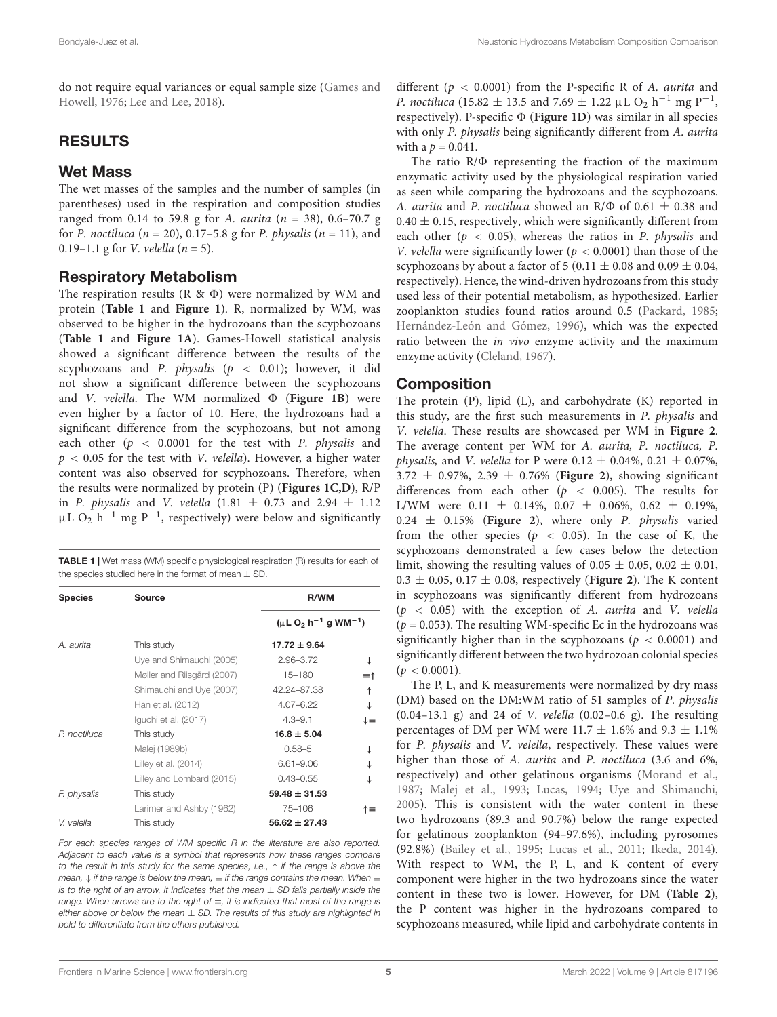do not require equal variances or equal sample size [\(Games and](#page-13-29) [Howell,](#page-13-29) [1976;](#page-13-29) [Lee and Lee,](#page-14-20) [2018\)](#page-14-20).

# RESULTS

#### Wet Mass

The wet masses of the samples and the number of samples (in parentheses) used in the respiration and composition studies ranged from 0.14 to 59.8 g for A. aurita ( $n = 38$ ), 0.6–70.7 g for P. noctiluca ( $n = 20$ ), 0.17–5.8 g for P. physalis ( $n = 11$ ), and 0.19–1.1 g for *V*. *velella*  $(n = 5)$ .

#### Respiratory Metabolism

The respiration results  $(R \& \Phi)$  were normalized by WM and protein (**[Table 1](#page-4-0)** and **[Figure 1](#page-5-0)**). R, normalized by WM, was observed to be higher in the hydrozoans than the scyphozoans (**[Table 1](#page-4-0)** and **[Figure 1A](#page-5-0)**). Games-Howell statistical analysis showed a significant difference between the results of the scyphozoans and P. physalis ( $p < 0.01$ ); however, it did not show a significant difference between the scyphozoans and *V. velella*. The WM normalized  $\Phi$  (**[Figure 1B](#page-5-0)**) were even higher by a factor of 10. Here, the hydrozoans had a significant difference from the scyphozoans, but not among each other ( $p < 0.0001$  for the test with P. physalis and  $p < 0.05$  for the test with *V. velella*). However, a higher water content was also observed for scyphozoans. Therefore, when the results were normalized by protein (P) (**[Figures 1C,D](#page-5-0)**), R/P in P. physalis and V. velella  $(1.81 \pm 0.73$  and  $2.94 \pm 1.12$  $\mu L O_2$  h<sup>-1</sup> mg P<sup>-1</sup>, respectively) were below and significantly

<span id="page-4-0"></span>TABLE 1 | Wet mass (WM) specific physiological respiration (R) results for each of the species studied here in the format of mean  $+$  SD.

| <b>Species</b> | Source                     | R/WM                            |    |
|----------------|----------------------------|---------------------------------|----|
|                |                            | $(\mu L O_2 h^{-1} g W M^{-1})$ |    |
| A. aurita      | This study                 | $17.72 \pm 9.64$                |    |
|                | Uye and Shimauchi (2005)   | $2.96 - 3.72$                   |    |
|                | Møller and Riisgård (2007) | $15 - 180$                      | ≡↑ |
|                | Shimauchi and Uye (2007)   | 42.24-87.38                     | ↑  |
|                | Han et al. (2012)          | $4.07 - 6.22$                   |    |
|                | Iquchi et al. (2017)       | $4.3 - 9.1$                     | ↓≡ |
| P. noctiluca   | This study                 | $16.8 \pm 5.04$                 |    |
|                | Malej (1989b)              | $0.58 - 5$                      |    |
|                | Lilley et al. (2014)       | $6.61 - 9.06$                   |    |
|                | Lilley and Lombard (2015)  | $0.43 - 0.55$                   |    |
| P. physalis    | This study                 | $59.48 \pm 31.53$               |    |
|                | Larimer and Ashby (1962)   | 75-106                          | ↑≡ |
| V. velella     | This study                 | $56.62 \pm 27.43$               |    |

For each species ranges of WM specific R in the literature are also reported. Adjacent to each value is a symbol that represents how these ranges compare to the result in this study for the same species, i.e.,  $\uparrow$  if the range is above the mean,  $\downarrow$  if the range is below the mean,  $\equiv$  if the range contains the mean. When  $\equiv$ is to the right of an arrow, it indicates that the mean  $\pm$  SD falls partially inside the range. When arrows are to the right of  $\equiv$ , it is indicated that most of the range is either above or below the mean  $\pm$  SD. The results of this study are highlighted in bold to differentiate from the others published.

different ( $p < 0.0001$ ) from the P-specific R of A. *aurita* and *P. noctiluca* (15.82  $\pm$  13.5 and 7.69  $\pm$  1.22  $\mu$ L O<sub>2</sub> h<sup>-1</sup> mg P<sup>-1</sup>, respectively). P-specific  $\Phi$  (**[Figure 1D](#page-5-0)**) was similar in all species with only P. physalis being significantly different from A. aurita with a  $p = 0.041$ .

The ratio  $R/\Phi$  representing the fraction of the maximum enzymatic activity used by the physiological respiration varied as seen while comparing the hydrozoans and the scyphozoans. A. *aurita* and P. *noctiluca* showed an R/ $\Phi$  of 0.61  $\pm$  0.38 and  $0.40 \pm 0.15$ , respectively, which were significantly different from each other ( $p < 0.05$ ), whereas the ratios in P. physalis and V. velella were significantly lower ( $p < 0.0001$ ) than those of the scyphozoans by about a factor of 5 (0.11  $\pm$  0.08 and 0.09  $\pm$  0.04, respectively). Hence, the wind-driven hydrozoans from this study used less of their potential metabolism, as hypothesized. Earlier zooplankton studies found ratios around 0.5 [\(Packard,](#page-15-19) [1985;](#page-15-19) [Hernández-León and Gómez,](#page-13-21) [1996\)](#page-13-21), which was the expected ratio between the *in vivo* enzyme activity and the maximum enzyme activity [\(Cleland,](#page-13-30) [1967\)](#page-13-30).

#### Composition

The protein (P), lipid (L), and carbohydrate (K) reported in this study, are the first such measurements in P. physalis and V. velella. These results are showcased per WM in **[Figure 2](#page-6-0)**. The average content per WM for A. aurita, P. noctiluca, P. *physalis, and V. velella for P were 0.12*  $\pm$  *0.04%, 0.21*  $\pm$  *0.07%,* 3.72 ± 0.97%, 2.39 ± 0.76% (**[Figure 2](#page-6-0)**), showing significant differences from each other ( $p < 0.005$ ). The results for L/WM were  $0.11 \pm 0.14\%$ ,  $0.07 \pm 0.06\%$ ,  $0.62 \pm 0.19\%$ ,  $0.24 \pm 0.15\%$  ([Figure 2](#page-6-0)), where only P. physalis varied from the other species ( $p < 0.05$ ). In the case of K, the scyphozoans demonstrated a few cases below the detection limit, showing the resulting values of  $0.05 \pm 0.05$ ,  $0.02 \pm 0.01$ ,  $0.3 \pm 0.05$ ,  $0.17 \pm 0.08$ , respectively (**[Figure 2](#page-6-0)**). The K content in scyphozoans was significantly different from hydrozoans  $(p < 0.05)$  with the exception of A. aurita and V. velella  $(p = 0.053)$ . The resulting WM-specific Ec in the hydrozoans was significantly higher than in the scyphozoans ( $p < 0.0001$ ) and significantly different between the two hydrozoan colonial species  $(p < 0.0001)$ .

The P, L, and K measurements were normalized by dry mass (DM) based on the DM:WM ratio of 51 samples of P. physalis  $(0.04-13.1 \text{ g})$  and 24 of *V. velella*  $(0.02-0.6 \text{ g})$ . The resulting percentages of DM per WM were 11.7  $\pm$  1.6% and 9.3  $\pm$  1.1% for P. physalis and V. velella, respectively. These values were higher than those of A. aurita and P. noctiluca (3.6 and 6%, respectively) and other gelatinous organisms [\(Morand et al.,](#page-15-7) [1987;](#page-15-7) [Malej et al.,](#page-14-24) [1993;](#page-14-24) [Lucas,](#page-14-25) [1994;](#page-14-25) [Uye and Shimauchi,](#page-16-2) [2005\)](#page-16-2). This is consistent with the water content in these two hydrozoans (89.3 and 90.7%) below the range expected for gelatinous zooplankton (94–97.6%), including pyrosomes (92.8%) [\(Bailey et al.,](#page-12-11) [1995;](#page-12-11) [Lucas et al.,](#page-14-26) [2011;](#page-14-26) [Ikeda,](#page-14-27) [2014\)](#page-14-27). With respect to WM, the P, L, and K content of every component were higher in the two hydrozoans since the water content in these two is lower. However, for DM (**[Table 2](#page-7-0)**), the P content was higher in the hydrozoans compared to scyphozoans measured, while lipid and carbohydrate contents in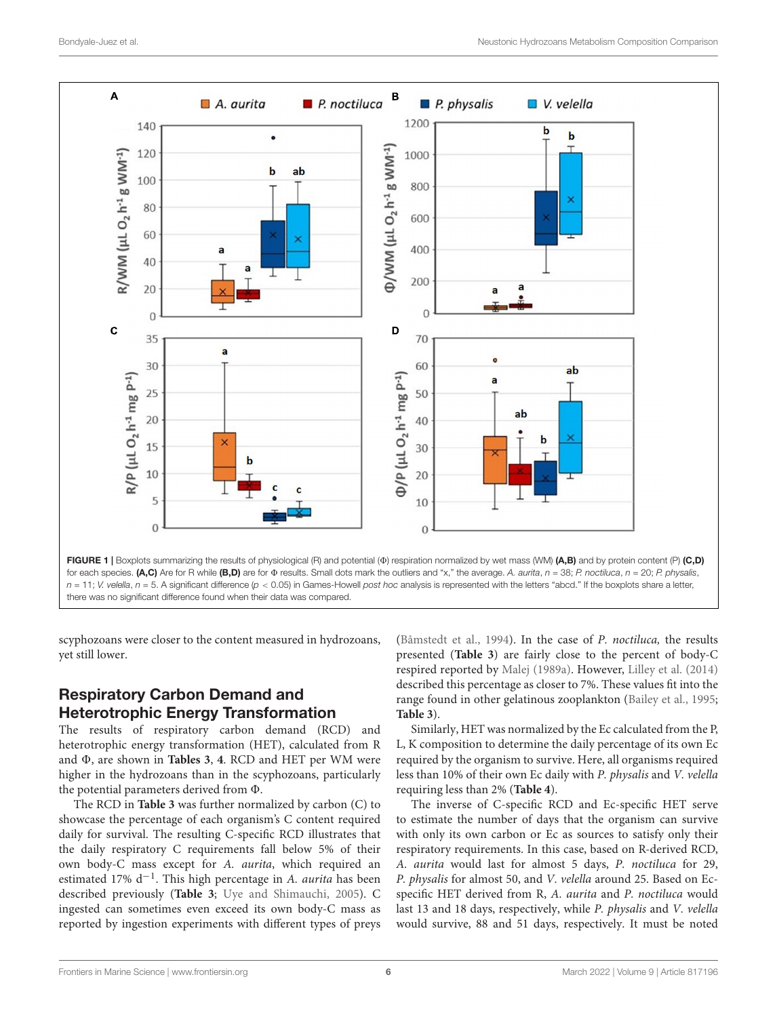

<span id="page-5-0"></span>scyphozoans were closer to the content measured in hydrozoans, yet still lower.

# Respiratory Carbon Demand and Heterotrophic Energy Transformation

The results of respiratory carbon demand (RCD) and heterotrophic energy transformation (HET), calculated from R and  $\Phi$ , are shown in **[Tables 3](#page-7-1)**, [4](#page-7-2). RCD and HET per WM were higher in the hydrozoans than in the scyphozoans, particularly the potential parameters derived from  $\Phi$ .

The RCD in **[Table 3](#page-7-1)** was further normalized by carbon (C) to showcase the percentage of each organism's C content required daily for survival. The resulting C-specific RCD illustrates that the daily respiratory C requirements fall below 5% of their own body-C mass except for A. aurita, which required an estimated 17% d<sup>-1</sup>. This high percentage in A. aurita has been described previously (**[Table 3](#page-7-1)**; [Uye and Shimauchi,](#page-16-2) [2005\)](#page-16-2). C ingested can sometimes even exceed its own body-C mass as reported by ingestion experiments with different types of preys [\(Båmstedt et al.,](#page-12-12) [1994\)](#page-12-12). In the case of P. noctiluca, the results presented (**[Table 3](#page-7-1)**) are fairly close to the percent of body-C respired reported by [Malej](#page-14-3) [\(1989a\)](#page-14-3). However, [Lilley et al.](#page-14-5) [\(2014\)](#page-14-5) described this percentage as closer to 7%. These values fit into the range found in other gelatinous zooplankton [\(Bailey et al.,](#page-12-11) [1995;](#page-12-11) **[Table 3](#page-7-1)**).

Similarly, HET was normalized by the Ec calculated from the P, L, K composition to determine the daily percentage of its own Ec required by the organism to survive. Here, all organisms required less than 10% of their own Ec daily with P. physalis and V. velella requiring less than 2% (**[Table 4](#page-7-2)**).

The inverse of C-specific RCD and Ec-specific HET serve to estimate the number of days that the organism can survive with only its own carbon or Ec as sources to satisfy only their respiratory requirements. In this case, based on R-derived RCD, A. aurita would last for almost 5 days, P. noctiluca for 29, P. physalis for almost 50, and V. velella around 25. Based on Ecspecific HET derived from R, A. aurita and P. noctiluca would last 13 and 18 days, respectively, while P. physalis and V. velella would survive, 88 and 51 days, respectively. It must be noted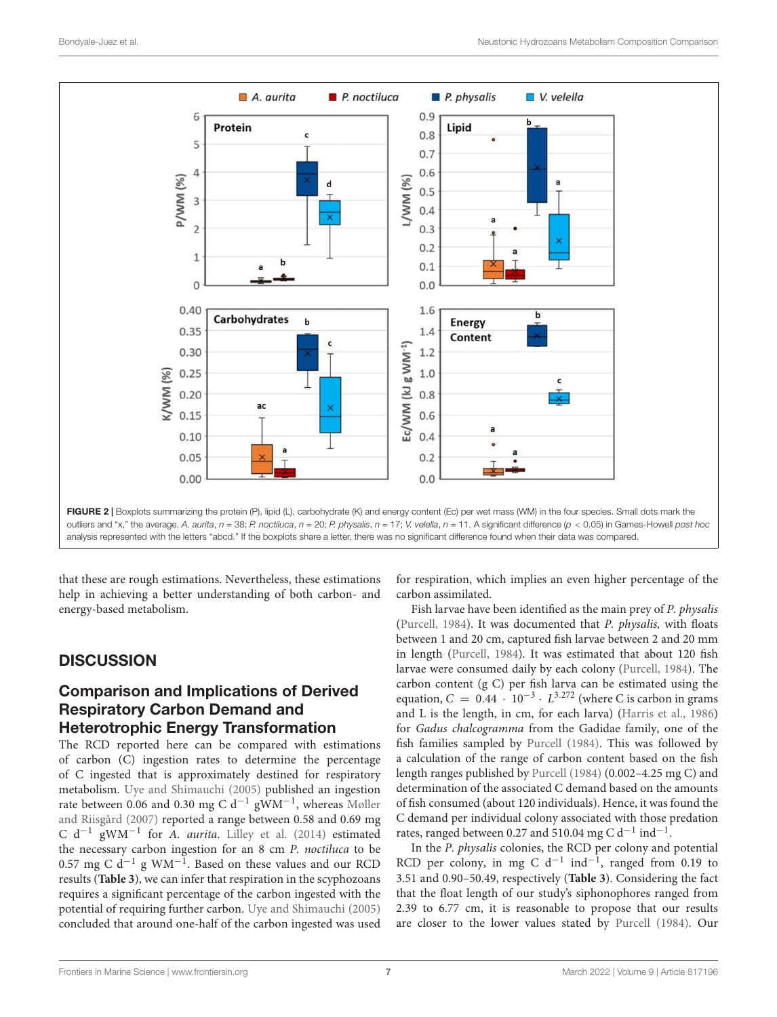

<span id="page-6-0"></span>that these are rough estimations. Nevertheless, these estimations help in achieving a better understanding of both carbon- and energy-based metabolism.

# **DISCUSSION**

# Comparison and Implications of Derived Respiratory Carbon Demand and Heterotrophic Energy Transformation

The RCD reported here can be compared with estimations of carbon (C) ingestion rates to determine the percentage of C ingested that is approximately destined for respiratory metabolism. [Uye and Shimauchi](#page-16-2) [\(2005\)](#page-16-2) published an ingestion rate between 0.06 and 0.30 mg C d<sup>-1</sup> gWM<sup>-1</sup>, whereas [Møller](#page-14-21) [and Riisgård](#page-14-21) [\(2007\)](#page-14-21) reported a range between 0.58 and 0.69 mg C d−<sup>1</sup> gWM−<sup>1</sup> for A. aurita. [Lilley et al.](#page-14-5) [\(2014\)](#page-14-5) estimated the necessary carbon ingestion for an 8 cm P. noctiluca to be 0.57 mg C d<sup>-1</sup> g WM<sup>-1</sup>. Based on these values and our RCD results (**[Table 3](#page-7-1)**), we can infer that respiration in the scyphozoans requires a significant percentage of the carbon ingested with the potential of requiring further carbon. [Uye and Shimauchi](#page-16-2) [\(2005\)](#page-16-2) concluded that around one-half of the carbon ingested was used

for respiration, which implies an even higher percentage of the carbon assimilated.

Fish larvae have been identified as the main prey of P. physalis [\(Purcell,](#page-15-1) [1984\)](#page-15-1). It was documented that P. physalis, with floats between 1 and 20 cm, captured fish larvae between 2 and 20 mm in length [\(Purcell,](#page-15-1) [1984\)](#page-15-1). It was estimated that about 120 fish larvae were consumed daily by each colony [\(Purcell,](#page-15-1) [1984\)](#page-15-1). The carbon content (g C) per fish larva can be estimated using the equation,  $C = 0.44 \cdot 10^{-3} \cdot L^{3.272}$  (where C is carbon in grams and L is the length, in cm, for each larva) [\(Harris et al.,](#page-13-31) [1986\)](#page-13-31) for Gadus chalcogramma from the Gadidae family, one of the fish families sampled by [Purcell](#page-15-1) [\(1984\)](#page-15-1). This was followed by a calculation of the range of carbon content based on the fish length ranges published by [Purcell](#page-15-1) [\(1984\)](#page-15-1) (0.002–4.25 mg C) and determination of the associated C demand based on the amounts of fish consumed (about 120 individuals). Hence, it was found the C demand per individual colony associated with those predation rates, ranged between 0.27 and 510.04 mg C d<sup>-1</sup> ind<sup>-1</sup>.

In the P. physalis colonies, the RCD per colony and potential RCD per colony, in mg C d<sup>-1</sup> ind<sup>-1</sup>, ranged from 0.19 to 3.51 and 0.90–50.49, respectively (**[Table 3](#page-7-1)**). Considering the fact that the float length of our study's siphonophores ranged from 2.39 to 6.77 cm, it is reasonable to propose that our results are closer to the lower values stated by [Purcell](#page-15-1) [\(1984\)](#page-15-1). Our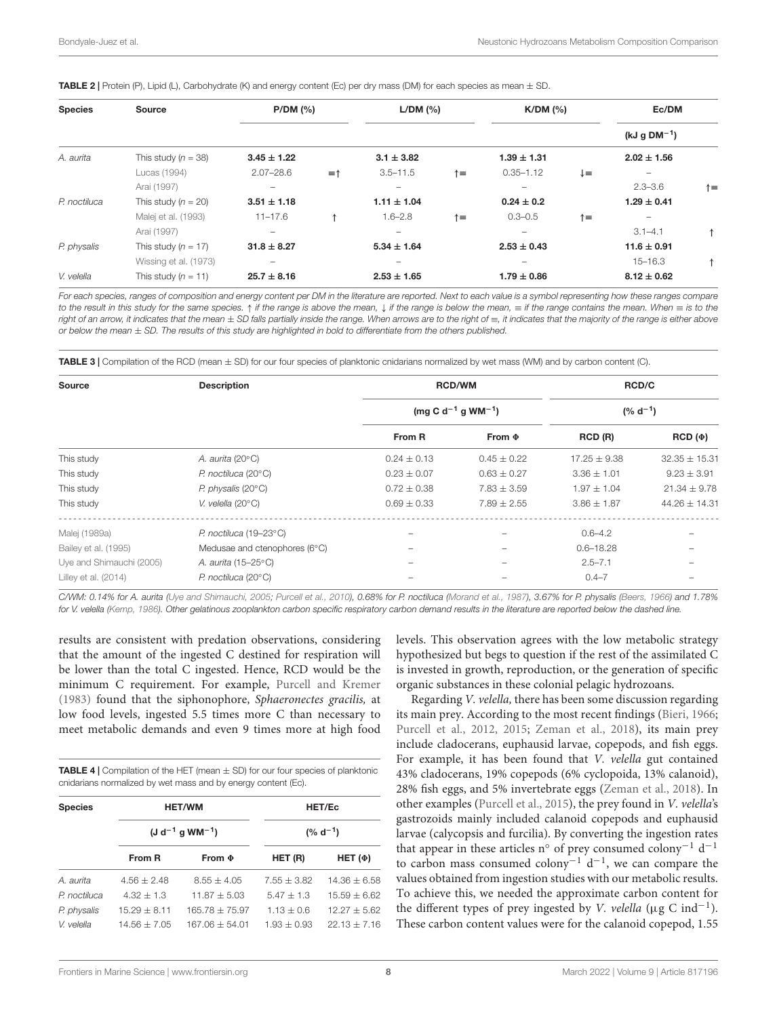| <b>Species</b> | Source                | P/DM (%)        |                | L/DM (%)        |             | $K/DM$ $(\% )$  |    | Ec/DM             |           |
|----------------|-----------------------|-----------------|----------------|-----------------|-------------|-----------------|----|-------------------|-----------|
|                |                       |                 |                |                 |             |                 |    | (kJ g $DM^{-1}$ ) |           |
| A. aurita      | This study $(n = 38)$ | $3.45 \pm 1.22$ |                | $3.1 \pm 3.82$  |             | $1.39 \pm 1.31$ |    | $2.02 \pm 1.56$   |           |
|                | Lucas (1994)          | $2.07 - 28.6$   | $=$ $\uparrow$ | $3.5 - 11.5$    | ↑≡          | $0.35 - 1.12$   | ↓≡ |                   |           |
|                | Arai (1997)           | -               |                | -               |             |                 |    | $2.3 - 3.6$       | $\dagger$ |
| P. noctiluca   | This study $(n = 20)$ | $3.51 \pm 1.18$ |                | $1.11 \pm 1.04$ |             | $0.24 \pm 0.2$  |    | $1.29 \pm 0.41$   |           |
|                | Malej et al. (1993)   | $11 - 17.6$     | ↑              | $1.6 - 2.8$     | $\dagger$ = | $0.3 - 0.5$     | ↑≡ |                   |           |
|                | Arai (1997)           | -               |                | -               |             |                 |    | $3.1 - 4.1$       | ↑         |
| P. physalis    | This study $(n = 17)$ | $31.8 \pm 8.27$ |                | $5.34 \pm 1.64$ |             | $2.53 \pm 0.43$ |    | $11.6 \pm 0.91$   |           |
|                | Wissing et al. (1973) | -               |                |                 |             |                 |    | $15 - 16.3$       | ↑         |
| V. velella     | This study $(n = 11)$ | $25.7 \pm 8.16$ |                | $2.53 \pm 1.65$ |             | $1.79 \pm 0.86$ |    | $8.12 \pm 0.62$   |           |

#### <span id="page-7-0"></span>**TABLE 2** | Protein (P), Lipid (L), Carbohydrate (K) and energy content (Ec) per dry mass (DM) for each species as mean  $\pm$  SD.

For each species, ranges of composition and energy content per DM in the literature are reported. Next to each value is a symbol representing how these ranges compare to the result in this study for the same species. ↑ if the range is above the mean, ↓ if the range is below the mean,  $\equiv$  if the range contains the mean. When  $\equiv$  is to the right of an arrow, it indicates that the mean ± SD falls partially inside the range. When arrows are to the right of ≡, it indicates that the majority of the range is either above or below the mean  $\pm$  SD. The results of this study are highlighted in bold to differentiate from the others published.

<span id="page-7-1"></span>TABLE 3 | Compilation of the RCD (mean  $\pm$  SD) for our four species of planktonic cnidarians normalized by wet mass (WM) and by carbon content (C).

| <b>Source</b>            | <b>Description</b>               | <b>RCD/WM</b>   |                                            | RCD/C            |                   |  |
|--------------------------|----------------------------------|-----------------|--------------------------------------------|------------------|-------------------|--|
|                          |                                  |                 | (mg C d <sup>-1</sup> g WM <sup>-1</sup> ) | $(% d-1)$        |                   |  |
|                          |                                  | From R          | From $\Phi$                                | RCD (R)          | $RCD (\Phi)$      |  |
| This study               | A. aurita (20 $^{\circ}$ C)      | $0.24 \pm 0.13$ | $0.45 \pm 0.22$                            | $17.25 \pm 9.38$ | $32.35 \pm 15.31$ |  |
| This study               | $P.$ noctiluca (20 $\degree$ C)  | $0.23 \pm 0.07$ | $0.63 \pm 0.27$                            | $3.36 \pm 1.01$  | $9.23 \pm 3.91$   |  |
| This study               | P. physalis $(20^{\circ}C)$      | $0.72 \pm 0.38$ | $7.83 \pm 3.59$                            | $1.97 \pm 1.04$  | $21.34 \pm 9.78$  |  |
| This study               | V. velella $(20^{\circ}C)$       | $0.69 \pm 0.33$ | $7.89 \pm 2.55$                            | $3.86 \pm 1.87$  | $44.26 \pm 14.31$ |  |
| Malej (1989a)            | P. noctiluca (19-23°C)           |                 |                                            | $0.6 - 4.2$      |                   |  |
| Bailey et al. (1995)     | Medusae and ctenophores (6°C)    |                 |                                            | $0.6 - 18.28$    |                   |  |
| Uye and Shimauchi (2005) | A. aurita (15-25°C)              |                 |                                            | $2.5 - 7.1$      |                   |  |
| Lilley et al. (2014)     | $P.$ noctiluca (20 $^{\circ}$ C) |                 |                                            | $0.4 - 7$        |                   |  |

C/WM: 0.14% for A. aurita [\(Uye and Shimauchi,](#page-16-2) [2005;](#page-16-2) [Purcell et al.,](#page-15-14) [2010\)](#page-15-14), 0.68% for P. noctiluca [\(Morand et al.,](#page-15-7) [1987\)](#page-15-7), 3.67% for P. physalis [\(Beers,](#page-12-14) [1966\)](#page-12-14) and 1.78% for V. velella [\(Kemp,](#page-14-28) [1986\)](#page-14-28). Other gelatinous zooplankton carbon specific respiratory carbon demand results in the literature are reported below the dashed line.

results are consistent with predation observations, considering that the amount of the ingested C destined for respiration will be lower than the total C ingested. Hence, RCD would be the minimum C requirement. For example, [Purcell and Kremer](#page-15-29) [\(1983\)](#page-15-29) found that the siphonophore, Sphaeronectes gracilis, at low food levels, ingested 5.5 times more C than necessary to meet metabolic demands and even 9 times more at high food

<span id="page-7-2"></span>**TABLE 4** | Compilation of the HET (mean  $\pm$  SD) for our four species of planktonic cnidarians normalized by wet mass and by energy content (Ec).

| <b>Species</b> |                | <b>HET/WM</b>           |                 | HET/Ec           |
|----------------|----------------|-------------------------|-----------------|------------------|
|                |                | $(J d^{-1} g W M^{-1})$ |                 | $(% d-1)$        |
|                | From R         | From $\Phi$             | HET (R)         | HET $(\Phi)$     |
| A. aurita      | $4.56 + 2.48$  | $8.55 + 4.05$           | $7.55 + 3.82$   | $14.36 + 6.58$   |
| P. noctiluca   | $4.32 + 1.3$   | $11.87 + 5.03$          | $5.47 + 1.3$    | $15.59 + 6.62$   |
| P. physalis    | $15.29 + 8.11$ | $165.78 + 75.97$        | $1.13 + 0.6$    | $12.27 \pm 5.62$ |
| V. velella     | $14.56 + 7.05$ | $167.06 + 54.01$        | $1.93 \pm 0.93$ | $22.13 \pm 7.16$ |

levels. This observation agrees with the low metabolic strategy hypothesized but begs to question if the rest of the assimilated C is invested in growth, reproduction, or the generation of specific organic substances in these colonial pelagic hydrozoans.

Regarding V. velella, there has been some discussion regarding its main prey. According to the most recent findings [\(Bieri,](#page-12-0) [1966;](#page-12-0) [Purcell et al.,](#page-15-34) [2012,](#page-15-34) [2015;](#page-15-5) [Zeman et al.,](#page-16-1) [2018\)](#page-16-1), its main prey include cladocerans, euphausid larvae, copepods, and fish eggs. For example, it has been found that V. velella gut contained 43% cladocerans, 19% copepods (6% cyclopoida, 13% calanoid), 28% fish eggs, and 5% invertebrate eggs [\(Zeman et al.,](#page-16-1) [2018\)](#page-16-1). In other examples [\(Purcell et al.,](#page-15-5) [2015\)](#page-15-5), the prey found in V. velella's gastrozoids mainly included calanoid copepods and euphausid larvae (calycopsis and furcilia). By converting the ingestion rates that appear in these articles n° of prey consumed colony<sup>-1</sup> d<sup>-1</sup> to carbon mass consumed colony<sup>-1</sup> d<sup>-1</sup>, we can compare the values obtained from ingestion studies with our metabolic results. To achieve this, we needed the approximate carbon content for the different types of prey ingested by V. velella ( $\mu$ g C ind<sup>-1</sup>). These carbon content values were for the calanoid copepod, 1.55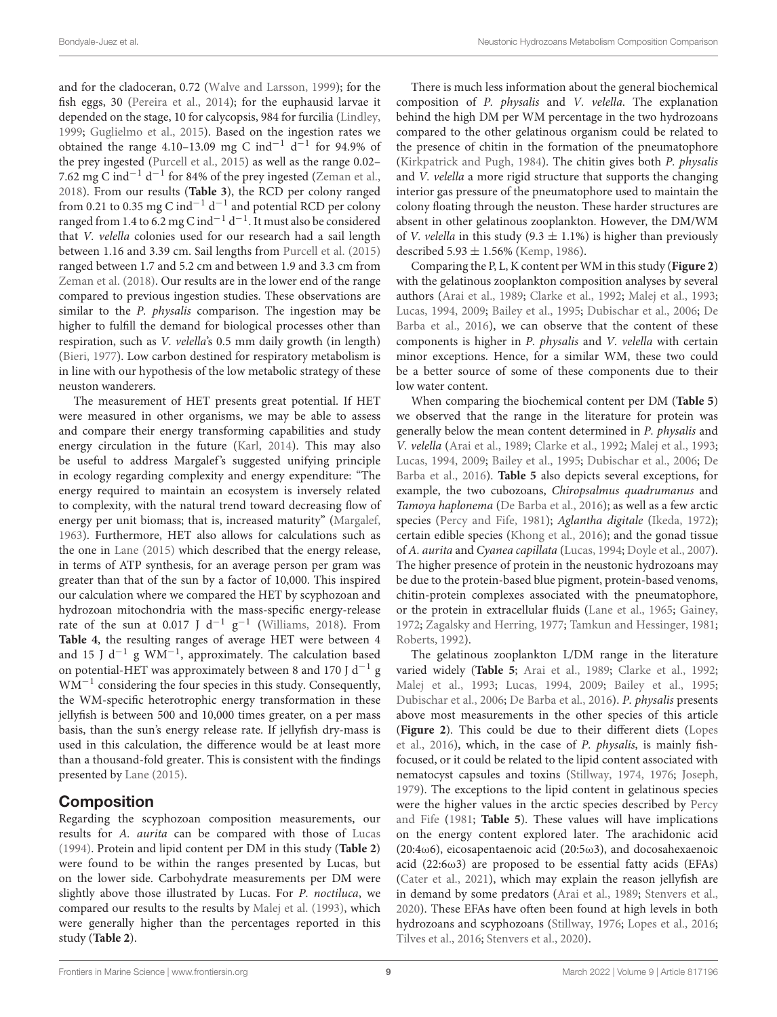and for the cladoceran, 0.72 [\(Walve and Larsson,](#page-16-5) [1999\)](#page-16-5); for the fish eggs, 30 [\(Pereira et al.,](#page-15-35) [2014\)](#page-15-35); for the euphausid larvae it depended on the stage, 10 for calycopsis, 984 for furcilia [\(Lindley,](#page-14-29) [1999;](#page-14-29) [Guglielmo et al.,](#page-13-32) [2015\)](#page-13-32). Based on the ingestion rates we obtained the range 4.10-13.09 mg C ind<sup>-1</sup> d<sup>-1</sup> for 94.9% of the prey ingested [\(Purcell et al.,](#page-15-5) [2015\)](#page-15-5) as well as the range 0.02– 7.62 mg C ind<sup>-1</sup> d<sup>-1</sup> for 84% of the prey ingested [\(Zeman et al.,](#page-16-1) [2018\)](#page-16-1). From our results (**[Table 3](#page-7-1)**), the RCD per colony ranged from 0.21 to 0.35 mg C ind<sup>-1</sup> d<sup>-1</sup> and potential RCD per colony ranged from 1.4 to 6.2 mg C ind<sup>-1</sup> d<sup>-1</sup>. It must also be considered that V. velella colonies used for our research had a sail length between 1.16 and 3.39 cm. Sail lengths from [Purcell et al.](#page-15-5) [\(2015\)](#page-15-5) ranged between 1.7 and 5.2 cm and between 1.9 and 3.3 cm from [Zeman et al.](#page-16-1) [\(2018\)](#page-16-1). Our results are in the lower end of the range compared to previous ingestion studies. These observations are similar to the P. physalis comparison. The ingestion may be higher to fulfill the demand for biological processes other than respiration, such as V. velella's 0.5 mm daily growth (in length) [\(Bieri,](#page-12-15) [1977\)](#page-12-15). Low carbon destined for respiratory metabolism is in line with our hypothesis of the low metabolic strategy of these neuston wanderers.

The measurement of HET presents great potential. If HET were measured in other organisms, we may be able to assess and compare their energy transforming capabilities and study energy circulation in the future [\(Karl,](#page-14-30) [2014\)](#page-14-30). This may also be useful to address Margalef's suggested unifying principle in ecology regarding complexity and energy expenditure: "The energy required to maintain an ecosystem is inversely related to complexity, with the natural trend toward decreasing flow of energy per unit biomass; that is, increased maturity" [\(Margalef,](#page-14-31) [1963\)](#page-14-31). Furthermore, HET also allows for calculations such as the one in [Lane](#page-14-32) [\(2015\)](#page-14-32) which described that the energy release, in terms of ATP synthesis, for an average person per gram was greater than that of the sun by a factor of 10,000. This inspired our calculation where we compared the HET by scyphozoan and hydrozoan mitochondria with the mass-specific energy-release rate of the sun at 0.017 J d<sup>-1</sup>  $g^{-1}$  [\(Williams,](#page-16-6) [2018\)](#page-16-6). From **[Table 4](#page-7-2)**, the resulting ranges of average HET were between 4 and 15 J d<sup>-1</sup> g WM<sup>-1</sup>, approximately. The calculation based on potential-HET was approximately between 8 and 170 J  $d^{-1}$  g WM−<sup>1</sup> considering the four species in this study. Consequently, the WM-specific heterotrophic energy transformation in these jellyfish is between 500 and 10,000 times greater, on a per mass basis, than the sun's energy release rate. If jellyfish dry-mass is used in this calculation, the difference would be at least more than a thousand-fold greater. This is consistent with the findings presented by [Lane](#page-14-32) [\(2015\)](#page-14-32).

## Composition

Regarding the scyphozoan composition measurements, our results for A. aurita can be compared with those of [Lucas](#page-14-25) [\(1994\)](#page-14-25). Protein and lipid content per DM in this study (**[Table 2](#page-7-0)**) were found to be within the ranges presented by Lucas, but on the lower side. Carbohydrate measurements per DM were slightly above those illustrated by Lucas. For P. noctiluca, we compared our results to the results by [Malej et al.](#page-14-24) [\(1993\)](#page-14-24), which were generally higher than the percentages reported in this study (**[Table 2](#page-7-0)**).

There is much less information about the general biochemical composition of P. physalis and V. velella. The explanation behind the high DM per WM percentage in the two hydrozoans compared to the other gelatinous organism could be related to the presence of chitin in the formation of the pneumatophore [\(Kirkpatrick and Pugh,](#page-14-33) [1984\)](#page-14-33). The chitin gives both P. physalis and V. velella a more rigid structure that supports the changing interior gas pressure of the pneumatophore used to maintain the colony floating through the neuston. These harder structures are absent in other gelatinous zooplankton. However, the DM/WM of *V. velella* in this study (9.3  $\pm$  1.1%) is higher than previously described  $5.93 \pm 1.56\%$  [\(Kemp,](#page-14-28) [1986\)](#page-14-28).

Comparing the P, L, K content per WM in this study (**[Figure 2](#page-6-0)**) with the gelatinous zooplankton composition analyses by several authors [\(Arai et al.,](#page-12-16) [1989;](#page-12-16) [Clarke et al.,](#page-13-26) [1992;](#page-13-26) [Malej et al.,](#page-14-24) [1993;](#page-14-24) [Lucas,](#page-14-25) [1994,](#page-14-25) [2009;](#page-14-34) [Bailey et al.,](#page-12-11) [1995;](#page-12-11) [Dubischar et al.,](#page-13-33) [2006;](#page-13-33) [De](#page-13-34) [Barba et al.,](#page-13-34) [2016\)](#page-13-34), we can observe that the content of these components is higher in P. physalis and V. velella with certain minor exceptions. Hence, for a similar WM, these two could be a better source of some of these components due to their low water content.

When comparing the biochemical content per DM (**[Table 5](#page-9-0)**) we observed that the range in the literature for protein was generally below the mean content determined in P. physalis and V. velella [\(Arai et al.,](#page-12-16) [1989;](#page-12-16) [Clarke et al.,](#page-13-26) [1992;](#page-13-26) [Malej et al.,](#page-14-24) [1993;](#page-14-24) [Lucas,](#page-14-25) [1994,](#page-14-25) [2009;](#page-14-34) [Bailey et al.,](#page-12-11) [1995;](#page-12-11) [Dubischar et al.,](#page-13-33) [2006;](#page-13-33) [De](#page-13-34) [Barba et al.,](#page-13-34) [2016\)](#page-13-34). **[Table 5](#page-9-0)** also depicts several exceptions, for example, the two cubozoans, Chiropsalmus quadrumanus and Tamoya haplonema [\(De Barba et al.,](#page-13-34) [2016\)](#page-13-34); as well as a few arctic species [\(Percy and Fife,](#page-15-36) [1981\)](#page-15-36); Aglantha digitale [\(Ikeda,](#page-14-35) [1972\)](#page-14-35); certain edible species [\(Khong et al.,](#page-14-36) [2016\)](#page-14-36); and the gonad tissue of A. aurita and Cyanea capillata [\(Lucas,](#page-14-25) [1994;](#page-14-25) [Doyle et al.,](#page-13-25) [2007\)](#page-13-25). The higher presence of protein in the neustonic hydrozoans may be due to the protein-based blue pigment, protein-based venoms, chitin-protein complexes associated with the pneumatophore, or the protein in extracellular fluids [\(Lane et al.,](#page-14-37) [1965;](#page-14-37) [Gainey,](#page-13-35) [1972;](#page-13-35) [Zagalsky and Herring,](#page-16-7) [1977;](#page-16-7) [Tamkun and Hessinger,](#page-15-37) [1981;](#page-15-37) [Roberts,](#page-15-38) [1992\)](#page-15-38).

The gelatinous zooplankton L/DM range in the literature varied widely (**[Table 5](#page-9-0)**; [Arai et al.,](#page-12-16) [1989;](#page-12-16) [Clarke et al.,](#page-13-26) [1992;](#page-13-26) [Malej et al.,](#page-14-24) [1993;](#page-14-24) [Lucas,](#page-14-25) [1994,](#page-14-25) [2009;](#page-14-34) [Bailey et al.,](#page-12-11) [1995;](#page-12-11) [Dubischar et al.,](#page-13-33) [2006;](#page-13-33) [De Barba et al.,](#page-13-34) [2016\)](#page-13-34). P. physalis presents above most measurements in the other species of this article (**[Figure 2](#page-6-0)**). This could be due to their different diets [\(Lopes](#page-14-38) [et al.,](#page-14-38) [2016\)](#page-14-38), which, in the case of P. physalis, is mainly fishfocused, or it could be related to the lipid content associated with nematocyst capsules and toxins [\(Stillway,](#page-15-39) [1974,](#page-15-39) [1976;](#page-15-40) [Joseph,](#page-14-39) [1979\)](#page-14-39). The exceptions to the lipid content in gelatinous species were the higher values in the arctic species described by [Percy](#page-15-36) [and Fife](#page-15-36) [\(1981;](#page-15-36) **[Table 5](#page-9-0)**). These values will have implications on the energy content explored later. The arachidonic acid (20:4ω6), eicosapentaenoic acid (20:5ω3), and docosahexaenoic acid (22:6ω3) are proposed to be essential fatty acids (EFAs) [\(Cater et al.,](#page-13-36) [2021\)](#page-13-36), which may explain the reason jellyfish are in demand by some predators [\(Arai et al.,](#page-12-16) [1989;](#page-12-16) [Stenvers et al.,](#page-15-41) [2020\)](#page-15-41). These EFAs have often been found at high levels in both hydrozoans and scyphozoans [\(Stillway,](#page-15-40) [1976;](#page-15-40) [Lopes et al.,](#page-14-38) [2016;](#page-14-38) [Tilves et al.,](#page-16-8) [2016;](#page-16-8) [Stenvers et al.,](#page-15-41) [2020\)](#page-15-41).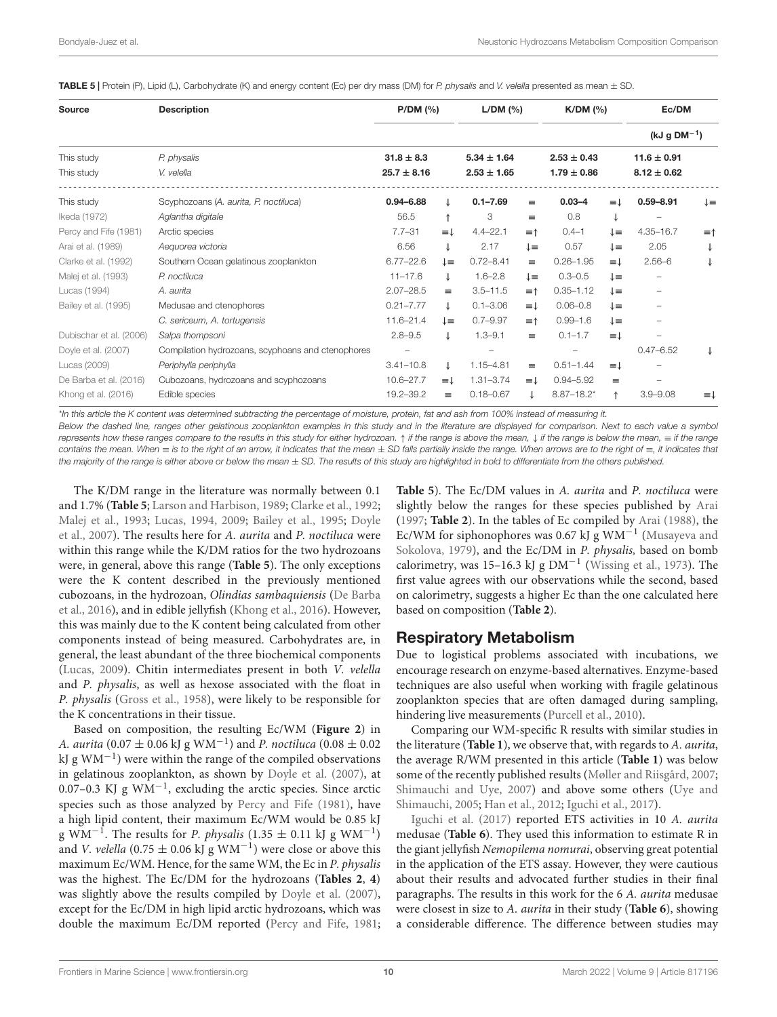<span id="page-9-0"></span>**TABLE 5** | Protein (P), Lipid (L), Carbohydrate (K) and energy content (Ec) per dry mass (DM) for P. physalis and V. velella presented as mean  $\pm$  SD.

| Source                  | <b>Description</b>                                | P/DM (%)        |              |                 | $L/DM$ (%)<br>$K/DM$ (%) |                 | Ec/DM            |                   |                     |
|-------------------------|---------------------------------------------------|-----------------|--------------|-----------------|--------------------------|-----------------|------------------|-------------------|---------------------|
|                         |                                                   |                 |              |                 |                          |                 |                  | (kJ g $DM^{-1}$ ) |                     |
| This study              | P. physalis                                       | $31.8 \pm 8.3$  |              | $5.34 \pm 1.64$ |                          | $2.53 \pm 0.43$ |                  | $11.6 \pm 0.91$   |                     |
| This study              | V. velella                                        | $25.7 \pm 8.16$ |              | $2.53 \pm 1.65$ |                          | $1.79 \pm 0.86$ |                  | $8.12 \pm 0.62$   |                     |
| This study              | Scyphozoans (A. aurita, P. noctiluca)             | $0.94 - 6.88$   |              | $0.1 - 7.69$    | $\equiv$                 | $0.03 - 4$      | $=1$             | $0.59 - 8.91$     | $\downarrow \equiv$ |
| Ikeda (1972)            | Aglantha digitale                                 | 56.5            | $\uparrow$   | 3               | $=$                      | 0.8             |                  |                   |                     |
| Percy and Fife (1981)   | Arctic species                                    | $7.7 - 31$      | $=$ $\perp$  | $4.4 - 22.1$    | $=$ $\uparrow$           | $0.4 - 1$       | ↓≡               | $4.35 - 16.7$     | $=$ $\uparrow$      |
| Arai et al. (1989)      | Aequorea victoria                                 | 6.56            | ↓            | 2.17            | $l =$                    | 0.57            | ↓≡               | 2.05              | ↓                   |
| Clarke et al. (1992)    | Southern Ocean gelatinous zooplankton             | $6.77 - 22.6$   | $l =$        | $0.72 - 8.41$   | $=$                      | $0.26 - 1.95$   | $=$ $\perp$      | $2.56 - 6$        | ↓                   |
| Malej et al. (1993)     | P. noctiluca                                      | $11 - 17.6$     | T.           | $1.6 - 2.8$     | $l =$                    | $0.3 - 0.5$     | $l =$            |                   |                     |
| Lucas (1994)            | A. aurita                                         | $2.07 - 28.5$   | $\equiv$     | $3.5 - 11.5$    | $\equiv$ $\uparrow$      | $0.35 - 1.12$   | $l =$            |                   |                     |
| Bailey et al. (1995)    | Medusae and ctenophores                           | $0.21 - 7.77$   | $\downarrow$ | $0.1 - 3.06$    | $=\downarrow$            | $0.06 - 0.8$    | $l =$            |                   |                     |
|                         | C. sericeum, A. tortugensis                       | 11.6-21.4       | ↓≡           | $0.7 - 9.97$    | $\equiv$ $\uparrow$      | $0.99 - 1.6$    | $l =$            |                   |                     |
| Dubischar et al. (2006) | Salpa thompsoni                                   | $2.8 - 9.5$     | ↓            | $1.3 - 9.1$     | $\equiv$                 | $0.1 - 1.7$     | $=$ $\downarrow$ |                   |                     |
| Doyle et al. (2007)     | Compilation hydrozoans, scyphoans and ctenophores |                 |              |                 |                          |                 |                  | $0.47 - 6.52$     |                     |
| Lucas (2009)            | Periphylla periphylla                             | $3.41 - 10.8$   | $\downarrow$ | $1.15 - 4.81$   | $=$                      | $0.51 - 1.44$   | $=$ $\downarrow$ |                   |                     |
| De Barba et al. (2016)  | Cubozoans, hydrozoans and scyphozoans             | $10.6 - 27.7$   | ≡↓           | $1.31 - 3.74$   | $=\downarrow$            | $0.94 - 5.92$   | $=$              |                   |                     |
| Khong et al. (2016)     | Edible species                                    | 19.2-39.2       | $\equiv$     | $0.18 - 0.67$   | ↓                        | $8.87 - 18.2*$  | ↑                | $3.9 - 9.08$      | ≡↓                  |

\*In this article the K content was determined subtracting the percentage of moisture, protein, fat and ash from 100% instead of measuring it.

Below the dashed line, ranges other gelatinous zooplankton examples in this study and in the literature are displayed for comparison. Next to each value a symbol represents how these ranges compare to the results in this study for either hydrozoan. ↑ if the range is above the mean, ↓ if the range is below the mean, ≡ if the range contains the mean. When ≡ is to the right of an arrow, it indicates that the mean ± SD falls partially inside the range. When arrows are to the right of ≡, it indicates that the majority of the range is either above or below the mean  $\pm$  SD. The results of this study are highlighted in bold to differentiate from the others published.

The K/DM range in the literature was normally between 0.1 and 1.7% (**[Table 5](#page-9-0)**; [Larson and Harbison,](#page-14-40) [1989;](#page-14-40) [Clarke et al.,](#page-13-26) [1992;](#page-13-26) [Malej et al.,](#page-14-24) [1993;](#page-14-24) [Lucas,](#page-14-25) [1994,](#page-14-25) [2009;](#page-14-34) [Bailey et al.,](#page-12-11) [1995;](#page-12-11) [Doyle](#page-13-25) [et al.,](#page-13-25) [2007\)](#page-13-25). The results here for A. aurita and P. noctiluca were within this range while the K/DM ratios for the two hydrozoans were, in general, above this range (**[Table 5](#page-9-0)**). The only exceptions were the K content described in the previously mentioned cubozoans, in the hydrozoan, Olindias sambaquiensis [\(De Barba](#page-13-34) [et al.,](#page-13-34) [2016\)](#page-13-34), and in edible jellyfish [\(Khong et al.,](#page-14-36) [2016\)](#page-14-36). However, this was mainly due to the K content being calculated from other components instead of being measured. Carbohydrates are, in general, the least abundant of the three biochemical components [\(Lucas,](#page-14-34) [2009\)](#page-14-34). Chitin intermediates present in both V. velella and P. physalis, as well as hexose associated with the float in P. physalis [\(Gross et al.,](#page-13-37) [1958\)](#page-13-37), were likely to be responsible for the K concentrations in their tissue.

Based on composition, the resulting Ec/WM (**[Figure 2](#page-6-0)**) in A. aurita (0.07  $\pm$  0.06 kJ g WM<sup>-1</sup>) and P. noctiluca (0.08  $\pm$  0.02 kJ g WM−<sup>1</sup> ) were within the range of the compiled observations in gelatinous zooplankton, as shown by [Doyle et al.](#page-13-25) [\(2007\)](#page-13-25), at 0.07–0.3 KJ g  $\text{WM}^{-1}$ , excluding the arctic species. Since arctic species such as those analyzed by [Percy and Fife](#page-15-36) [\(1981\)](#page-15-36), have a high lipid content, their maximum Ec/WM would be 0.85 kJ g WM<sup>-1</sup>. The results for *P. physalis* (1.35  $\pm$  0.11 kJ g WM<sup>-1</sup>) and *V. velella* (0.75  $\pm$  0.06 kJ g WM<sup>-1</sup>) were close or above this maximum Ec/WM. Hence, for the same WM, the Ec in P. physalis was the highest. The Ec/DM for the hydrozoans (**[Tables 2](#page-7-0)**, **[4](#page-7-2)**) was slightly above the results compiled by [Doyle et al.](#page-13-25) [\(2007\)](#page-13-25), except for the Ec/DM in high lipid arctic hydrozoans, which was double the maximum Ec/DM reported [\(Percy and Fife,](#page-15-36) [1981;](#page-15-36) **[Table 5](#page-9-0)**). The Ec/DM values in A. aurita and P. noctiluca were slightly below the ranges for these species published by [Arai](#page-12-13) [\(1997;](#page-12-13) **[Table 2](#page-7-0)**). In the tables of Ec compiled by [Arai](#page-12-2) [\(1988\)](#page-12-2), the Ec/WM for siphonophores was 0.67 kJ g WM<sup>-1</sup> [\(Musayeva and](#page-15-42) [Sokolova,](#page-15-42) [1979\)](#page-15-42), and the Ec/DM in P. physalis, based on bomb calorimetry, was 15-16.3 kJ g  $DM^{-1}$  [\(Wissing et al.,](#page-16-4) [1973\)](#page-16-4). The first value agrees with our observations while the second, based on calorimetry, suggests a higher Ec than the one calculated here based on composition (**[Table 2](#page-7-0)**).

#### Respiratory Metabolism

Due to logistical problems associated with incubations, we encourage research on enzyme-based alternatives. Enzyme-based techniques are also useful when working with fragile gelatinous zooplankton species that are often damaged during sampling, hindering live measurements [\(Purcell et al.,](#page-15-14) [2010\)](#page-15-14).

Comparing our WM-specific R results with similar studies in the literature (**[Table 1](#page-4-0)**), we observe that, with regards to A. aurita, the average R/WM presented in this article (**[Table 1](#page-4-0)**) was below some of the recently published results [\(Møller and Riisgård,](#page-14-21) [2007;](#page-14-21) [Shimauchi and Uye,](#page-15-33) [2007\)](#page-15-33) and above some others [\(Uye and](#page-16-2) [Shimauchi,](#page-16-2) [2005;](#page-16-2) [Han et al.,](#page-13-5) [2012;](#page-13-5) [Iguchi et al.,](#page-14-2) [2017\)](#page-14-2).

[Iguchi et al.](#page-14-2) [\(2017\)](#page-14-2) reported ETS activities in 10 A. aurita medusae (**[Table 6](#page-10-0)**). They used this information to estimate R in the giant jellyfish Nemopilema nomurai, observing great potential in the application of the ETS assay. However, they were cautious about their results and advocated further studies in their final paragraphs. The results in this work for the 6 A. aurita medusae were closest in size to A. aurita in their study (**[Table 6](#page-10-0)**), showing a considerable difference. The difference between studies may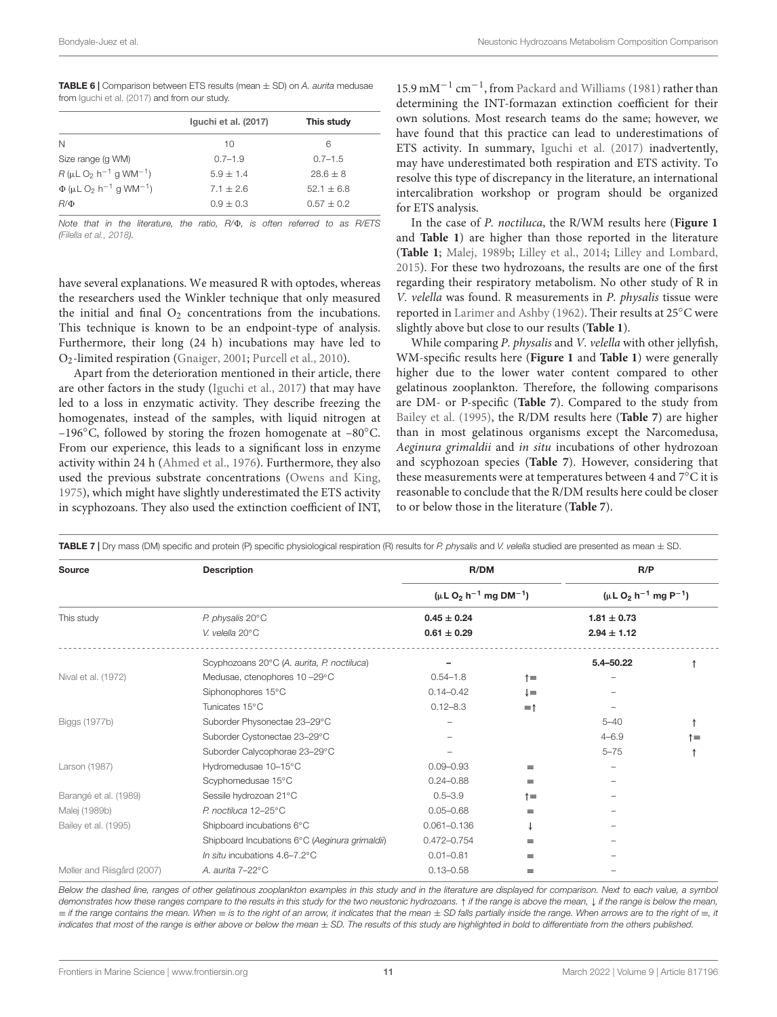<span id="page-10-0"></span>

| <b>TABLE 6</b>   Comparison between ETS results (mean $\pm$ SD) on A. aurita medusae |
|--------------------------------------------------------------------------------------|
| from Iguchi et al. (2017) and from our study.                                        |

|                                                                   | Iguchi et al. (2017) | This study   |  |
|-------------------------------------------------------------------|----------------------|--------------|--|
| N                                                                 | 10                   | 6            |  |
| Size range (g WM)                                                 | $0.7 - 1.9$          | $0.7 - 1.5$  |  |
| $R$ ( $\mu$ L O <sub>2</sub> h <sup>-1</sup> q WM <sup>-1</sup> ) | $5.9 + 1.4$          | $28.6 + 8$   |  |
| $\Phi$ (µL O <sub>2</sub> h <sup>-1</sup> q WM <sup>-1</sup> )    | $7.1 + 2.6$          | $52.1 + 6.8$ |  |
| $R/\Phi$                                                          | $0.9 \pm 0.3$        | $0.57 + 0.2$ |  |
|                                                                   |                      |              |  |

Note that in the literature, the ratio, R/ $\Phi$ , is often referred to as R/ETS [\(Filella et al.,](#page-13-38) [2018\)](#page-13-38).

have several explanations. We measured R with optodes, whereas the researchers used the Winkler technique that only measured the initial and final  $O_2$  concentrations from the incubations. This technique is known to be an endpoint-type of analysis. Furthermore, their long (24 h) incubations may have led to O2-limited respiration [\(Gnaiger,](#page-13-39) [2001;](#page-13-39) [Purcell et al.,](#page-15-14) [2010\)](#page-15-14).

Apart from the deterioration mentioned in their article, there are other factors in the study [\(Iguchi et al.,](#page-14-2) [2017\)](#page-14-2) that may have led to a loss in enzymatic activity. They describe freezing the homogenates, instead of the samples, with liquid nitrogen at –196 $°C$ , followed by storing the frozen homogenate at –80 $°C$ . From our experience, this leads to a significant loss in enzyme activity within 24 h [\(Ahmed et al.,](#page-12-5) [1976\)](#page-12-5). Furthermore, they also used the previous substrate concentrations [\(Owens and King,](#page-15-25) [1975\)](#page-15-25), which might have slightly underestimated the ETS activity in scyphozoans. They also used the extinction coefficient of INT,

15.9 mM<sup>-1</sup> cm<sup>-1</sup>, from [Packard and Williams](#page-15-43) [\(1981\)](#page-15-43) rather than determining the INT-formazan extinction coefficient for their own solutions. Most research teams do the same; however, we have found that this practice can lead to underestimations of ETS activity. In summary, [Iguchi et al.](#page-14-2) [\(2017\)](#page-14-2) inadvertently, may have underestimated both respiration and ETS activity. To resolve this type of discrepancy in the literature, an international intercalibration workshop or program should be organized for ETS analysis.

In the case of P. noctiluca, the R/WM results here (**[Figure 1](#page-5-0)** and **[Table 1](#page-4-0)**) are higher than those reported in the literature (**[Table 1](#page-4-0)**; [Malej,](#page-14-22) [1989b;](#page-14-22) [Lilley et al.,](#page-14-5) [2014;](#page-14-5) [Lilley and Lombard,](#page-14-11) [2015\)](#page-14-11). For these two hydrozoans, the results are one of the first regarding their respiratory metabolism. No other study of R in V. velella was found. R measurements in P. physalis tissue were reported in [Larimer and Ashby](#page-14-23) [\(1962\)](#page-14-23). Their results at 25◦C were slightly above but close to our results (**[Table 1](#page-4-0)**).

While comparing P. physalis and V. velella with other jellyfish, WM-specific results here (**[Figure 1](#page-5-0)** and **[Table 1](#page-4-0)**) were generally higher due to the lower water content compared to other gelatinous zooplankton. Therefore, the following comparisons are DM- or P-specific (**[Table 7](#page-10-1)**). Compared to the study from [Bailey et al.](#page-12-11) [\(1995\)](#page-12-11), the R/DM results here (**[Table 7](#page-10-1)**) are higher than in most gelatinous organisms except the Narcomedusa, Aeginura grimaldii and in situ incubations of other hydrozoan and scyphozoan species (**[Table 7](#page-10-1)**). However, considering that these measurements were at temperatures between 4 and 7◦C it is reasonable to conclude that the R/DM results here could be closer to or below those in the literature (**[Table 7](#page-10-1)**).

<span id="page-10-1"></span>

| Source                     | <b>Description</b>                             | R/DM<br>( $\mu$ L O <sub>2</sub> h <sup>-1</sup> mg DM <sup>-1</sup> ) |                | R/P<br>( $\mu$ L O <sub>2</sub> h <sup>-1</sup> mg P <sup>-1</sup> ) |    |  |
|----------------------------|------------------------------------------------|------------------------------------------------------------------------|----------------|----------------------------------------------------------------------|----|--|
|                            |                                                |                                                                        |                |                                                                      |    |  |
| This study                 | P. physalis 20°C                               | $0.45 \pm 0.24$                                                        |                | $1.81 \pm 0.73$                                                      |    |  |
|                            | V. velella 20°C                                | $0.61 \pm 0.29$                                                        |                | $2.94 \pm 1.12$                                                      |    |  |
|                            | Scyphozoans 20°C (A. aurita, P. noctiluca)     |                                                                        |                | 5.4-50.22                                                            |    |  |
| Nival et al. (1972)        | Medusae, ctenophores 10-29°C                   | $0.54 - 1.8$                                                           | ↑≡             |                                                                      |    |  |
|                            | Siphonophores 15°C                             | $0.14 - 0.42$                                                          | $\downarrow$   |                                                                      |    |  |
|                            | Tunicates 15°C                                 | $0.12 - 8.3$                                                           | $=$ $\uparrow$ |                                                                      |    |  |
| Biggs (1977b)              | Suborder Physonectae 23-29°C                   |                                                                        |                | $5 - 40$                                                             |    |  |
|                            | Suborder Cystonectae 23-29°C                   |                                                                        |                | $4 - 6.9$                                                            | ↑≡ |  |
|                            | Suborder Calycophorae 23-29°C                  |                                                                        |                | $5 - 75$                                                             |    |  |
| Larson (1987)              | Hydromedusae 10-15°C                           | $0.09 - 0.93$                                                          | $=$            |                                                                      |    |  |
|                            | Scyphomedusae 15°C                             | $0.24 - 0.88$                                                          | $\equiv$       |                                                                      |    |  |
| Barangé et al. (1989)      | Sessile hydrozoan 21°C                         | $0.5 - 3.9$                                                            | $\dagger$      |                                                                      |    |  |
| Malej (1989b)              | P. noctiluca 12-25°C                           | $0.05 - 0.68$                                                          | $\equiv$       |                                                                      |    |  |
| Bailey et al. (1995)       | Shipboard incubations 6°C                      | $0.061 - 0.136$                                                        | ↓              |                                                                      |    |  |
|                            | Shipboard Incubations 6°C (Aeginura grimaldii) | 0.472-0.754                                                            | $=$            |                                                                      |    |  |
|                            | In situ incubations $4.6 - 7.2$ °C             | $0.01 - 0.81$                                                          | $\equiv$       |                                                                      |    |  |
| Møller and Riisgård (2007) | A. aurita 7-22°C                               | $0.13 - 0.58$                                                          | $=$            |                                                                      |    |  |

Below the dashed line, ranges of other gelatinous zooplankton examples in this study and in the literature are displayed for comparison. Next to each value, a symbol demonstrates how these ranges compare to the results in this study for the two neustonic hydrozoans. ↑ if the range is above the mean, ↓ if the range is below the mean,  $\equiv$  if the range contains the mean. When  $\equiv$  is to the right of an arrow, it indicates that the mean  $\pm$  SD falls partially inside the range. When arrows are to the right of  $\equiv$ , it indicates that most of the range is either above or below the mean  $\pm$  SD. The results of this study are highlighted in bold to differentiate from the others published.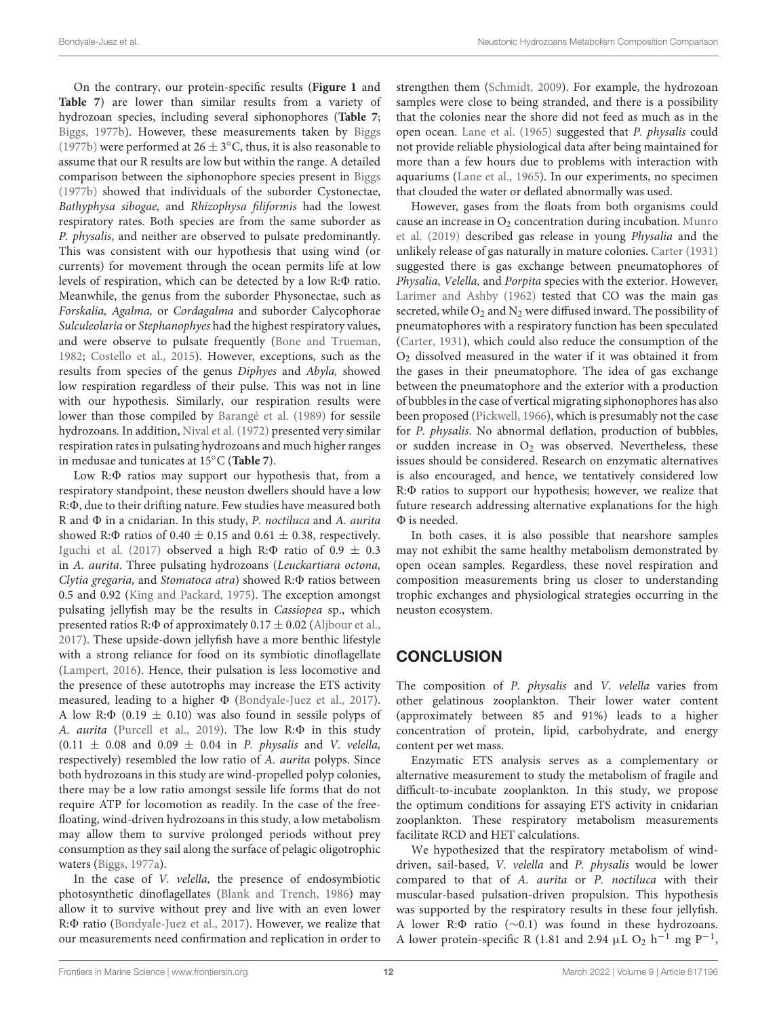On the contrary, our protein-specific results (**[Figure 1](#page-5-0)** and **[Table 7](#page-10-1)**) are lower than similar results from a variety of hydrozoan species, including several siphonophores (**[Table 7](#page-10-1)**; [Biggs,](#page-12-17) [1977b\)](#page-12-17). However, these measurements taken by [Biggs](#page-12-17) [\(1977b\)](#page-12-17) were performed at  $26 \pm 3$ °C, thus, it is also reasonable to assume that our R results are low but within the range. A detailed comparison between the siphonophore species present in [Biggs](#page-12-17) [\(1977b\)](#page-12-17) showed that individuals of the suborder Cystonectae, Bathyphysa sibogae, and Rhizophysa filiformis had the lowest respiratory rates. Both species are from the same suborder as P. physalis, and neither are observed to pulsate predominantly. This was consistent with our hypothesis that using wind (or currents) for movement through the ocean permits life at low levels of respiration, which can be detected by a low  $R:\Phi$  ratio. Meanwhile, the genus from the suborder Physonectae, such as Forskalia, Agalma, or Cordagalma and suborder Calycophorae Sulculeolaria or Stephanophyes had the highest respiratory values, and were observe to pulsate frequently [\(Bone and Trueman,](#page-12-19) [1982;](#page-12-19) [Costello et al.,](#page-13-40) [2015\)](#page-13-40). However, exceptions, such as the results from species of the genus Diphyes and Abyla, showed low respiration regardless of their pulse. This was not in line with our hypothesis. Similarly, our respiration results were lower than those compiled by [Barangé et al.](#page-12-18) [\(1989\)](#page-12-18) for sessile hydrozoans. In addition, [Nival et al.](#page-15-44) [\(1972\)](#page-15-44) presented very similar respiration rates in pulsating hydrozoans and much higher ranges in medusae and tunicates at 15◦C (**[Table 7](#page-10-1)**).

Low R: $\Phi$  ratios may support our hypothesis that, from a respiratory standpoint, these neuston dwellers should have a low R: $\Phi$ , due to their drifting nature. Few studies have measured both R and  $\Phi$  in a cnidarian. In this study, P. noctiluca and A. aurita showed R: $\Phi$  ratios of 0.40  $\pm$  0.15 and 0.61  $\pm$  0.38, respectively. [Iguchi et al.](#page-14-2) [\(2017\)](#page-14-2) observed a high R: $\Phi$  ratio of 0.9  $\pm$  0.3 in A. aurita. Three pulsating hydrozoans (Leuckartiara octona, Clytia gregaria, and Stomatoca atra) showed  $R:\Phi$  ratios between 0.5 and 0.92 [\(King and Packard,](#page-14-41) [1975\)](#page-14-41). The exception amongst pulsating jellyfish may be the results in Cassiopea sp., which presented ratios R: $\Phi$  of approximately 0.17  $\pm$  0.02 [\(Aljbour et al.,](#page-12-20) [2017\)](#page-12-20). These upside-down jellyfish have a more benthic lifestyle with a strong reliance for food on its symbiotic dinoflagellate [\(Lampert,](#page-14-42) [2016\)](#page-14-42). Hence, their pulsation is less locomotive and the presence of these autotrophs may increase the ETS activity measured, leading to a higher  $\Phi$  [\(Bondyale-Juez et al.,](#page-12-21) [2017\)](#page-12-21). A low R: $\Phi$  (0.19  $\pm$  0.10) was also found in sessile polyps of A. aurita [\(Purcell et al.,](#page-15-26) [2019\)](#page-15-26). The low  $R:\Phi$  in this study  $(0.11 \pm 0.08$  and  $0.09 \pm 0.04$  in *P. physalis* and *V. velella*, respectively) resembled the low ratio of A. aurita polyps. Since both hydrozoans in this study are wind-propelled polyp colonies, there may be a low ratio amongst sessile life forms that do not require ATP for locomotion as readily. In the case of the freefloating, wind-driven hydrozoans in this study, a low metabolism may allow them to survive prolonged periods without prey consumption as they sail along the surface of pelagic oligotrophic waters [\(Biggs,](#page-12-22) [1977a\)](#page-12-22).

In the case of V. velella, the presence of endosymbiotic photosynthetic dinoflagellates [\(Blank and Trench,](#page-12-23) [1986\)](#page-12-23) may allow it to survive without prey and live with an even lower R: $\Phi$  ratio [\(Bondyale-Juez et al.,](#page-12-21) [2017\)](#page-12-21). However, we realize that our measurements need confirmation and replication in order to strengthen them [\(Schmidt,](#page-15-45) [2009\)](#page-15-45). For example, the hydrozoan samples were close to being stranded, and there is a possibility that the colonies near the shore did not feed as much as in the open ocean. [Lane et al.](#page-14-37) [\(1965\)](#page-14-37) suggested that P. physalis could not provide reliable physiological data after being maintained for more than a few hours due to problems with interaction with aquariums [\(Lane et al.,](#page-14-37) [1965\)](#page-14-37). In our experiments, no specimen that clouded the water or deflated abnormally was used.

However, gases from the floats from both organisms could cause an increase in  $O_2$  concentration during incubation. [Munro](#page-15-17) [et al.](#page-15-17) [\(2019\)](#page-15-17) described gas release in young Physalia and the unlikely release of gas naturally in mature colonies. [Carter](#page-13-41) [\(1931\)](#page-13-41) suggested there is gas exchange between pneumatophores of Physalia, Velella, and Porpita species with the exterior. However, [Larimer and Ashby](#page-14-23) [\(1962\)](#page-14-23) tested that CO was the main gas secreted, while  $O_2$  and  $N_2$  were diffused inward. The possibility of pneumatophores with a respiratory function has been speculated [\(Carter,](#page-13-41) [1931\)](#page-13-41), which could also reduce the consumption of the  $O<sub>2</sub>$  dissolved measured in the water if it was obtained it from the gases in their pneumatophore. The idea of gas exchange between the pneumatophore and the exterior with a production of bubbles in the case of vertical migrating siphonophores has also been proposed [\(Pickwell,](#page-15-46) [1966\)](#page-15-46), which is presumably not the case for P. physalis. No abnormal deflation, production of bubbles, or sudden increase in  $O_2$  was observed. Nevertheless, these issues should be considered. Research on enzymatic alternatives is also encouraged, and hence, we tentatively considered low  $R:\Phi$  ratios to support our hypothesis; however, we realize that future research addressing alternative explanations for the high  $\Phi$  is needed.

In both cases, it is also possible that nearshore samples may not exhibit the same healthy metabolism demonstrated by open ocean samples. Regardless, these novel respiration and composition measurements bring us closer to understanding trophic exchanges and physiological strategies occurring in the neuston ecosystem.

# **CONCLUSION**

The composition of P. physalis and V. velella varies from other gelatinous zooplankton. Their lower water content (approximately between 85 and 91%) leads to a higher concentration of protein, lipid, carbohydrate, and energy content per wet mass.

Enzymatic ETS analysis serves as a complementary or alternative measurement to study the metabolism of fragile and difficult-to-incubate zooplankton. In this study, we propose the optimum conditions for assaying ETS activity in cnidarian zooplankton. These respiratory metabolism measurements facilitate RCD and HET calculations.

We hypothesized that the respiratory metabolism of winddriven, sail-based, V. velella and P. physalis would be lower compared to that of A. aurita or P. noctiluca with their muscular-based pulsation-driven propulsion. This hypothesis was supported by the respiratory results in these four jellyfish. A lower R:Φ ratio (∼0.1) was found in these hydrozoans. A lower protein-specific R (1.81 and 2.94  $\mu$ L O<sub>2</sub> h<sup>-1</sup> mg P<sup>-1</sup>,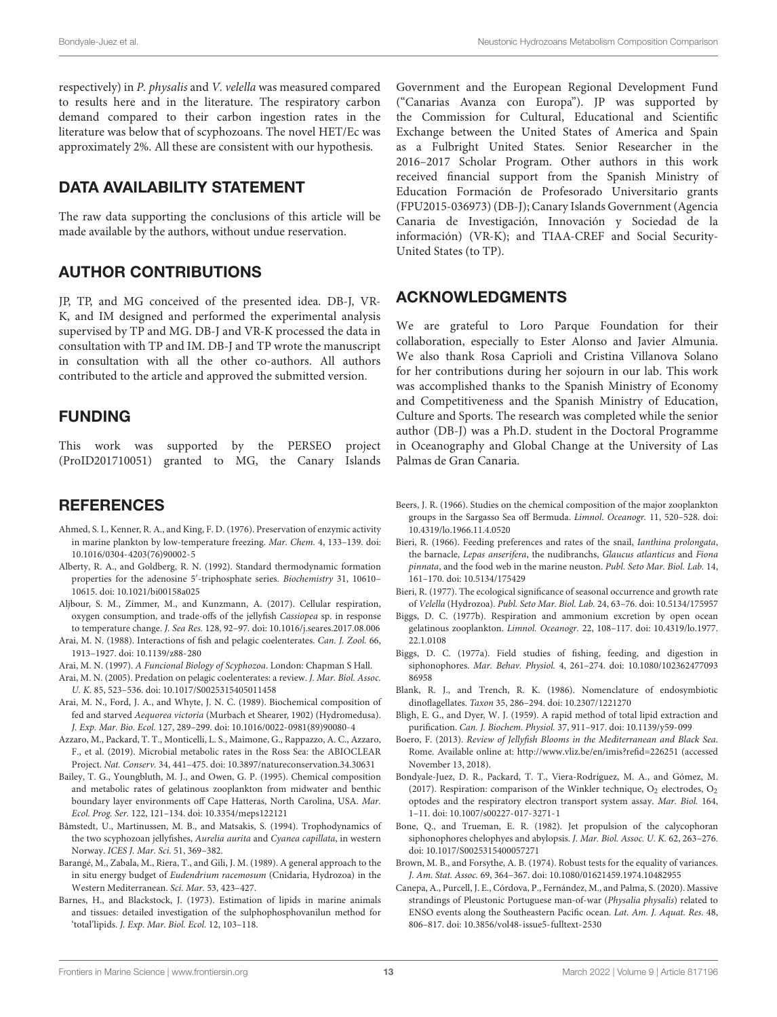respectively) in P. physalis and V. velella was measured compared to results here and in the literature. The respiratory carbon demand compared to their carbon ingestion rates in the literature was below that of scyphozoans. The novel HET/Ec was approximately 2%. All these are consistent with our hypothesis.

## DATA AVAILABILITY STATEMENT

The raw data supporting the conclusions of this article will be made available by the authors, without undue reservation.

## AUTHOR CONTRIBUTIONS

JP, TP, and MG conceived of the presented idea. DB-J, VR-K, and IM designed and performed the experimental analysis supervised by TP and MG. DB-J and VR-K processed the data in consultation with TP and IM. DB-J and TP wrote the manuscript in consultation with all the other co-authors. All authors contributed to the article and approved the submitted version.

#### FUNDING

This work was supported by the PERSEO project (ProID201710051) granted to MG, the Canary Islands

#### **REFERENCES**

- <span id="page-12-5"></span>Ahmed, S. I., Kenner, R. A., and King, F. D. (1976). Preservation of enzymic activity in marine plankton by low-temperature freezing. Mar. Chem. 4, 133–139. [doi:](https://doi.org/10.1016/0304-4203(76)90002-5) [10.1016/0304-4203\(76\)90002-5](https://doi.org/10.1016/0304-4203(76)90002-5)
- <span id="page-12-9"></span>Alberty, R. A., and Goldberg, R. N. (1992). Standard thermodynamic formation properties for the adenosine 5'-triphosphate series. Biochemistry 31, 10610-10615. [doi: 10.1021/bi00158a025](https://doi.org/10.1021/bi00158a025)
- <span id="page-12-20"></span>Aljbour, S. M., Zimmer, M., and Kunzmann, A. (2017). Cellular respiration, oxygen consumption, and trade-offs of the jellyfish Cassiopea sp. in response to temperature change. J. Sea Res. 128, 92–97. [doi: 10.1016/j.seares.2017.08.006](https://doi.org/10.1016/j.seares.2017.08.006)
- <span id="page-12-2"></span>Arai, M. N. (1988). Interactions of fish and pelagic coelenterates. Can. J. Zool. 66, 1913–1927. [doi: 10.1139/z88-280](https://doi.org/10.1139/z88-280)
- <span id="page-12-13"></span>Arai, M. N. (1997). A Funcional Biology of Scyphozoa. London: Chapman S Hall.
- <span id="page-12-3"></span>Arai, M. N. (2005). Predation on pelagic coelenterates: a review. J. Mar. Biol. Assoc. U. K. 85, 523–536. [doi: 10.1017/S0025315405011458](https://doi.org/10.1017/S0025315405011458)
- <span id="page-12-16"></span>Arai, M. N., Ford, J. A., and Whyte, J. N. C. (1989). Biochemical composition of fed and starved Aequorea victoria (Murbach et Shearer, 1902) (Hydromedusa). J. Exp. Mar. Bio. Ecol. 127, 289–299. [doi: 10.1016/0022-0981\(89\)90080-4](https://doi.org/10.1016/0022-0981(89)90080-4)
- <span id="page-12-8"></span>Azzaro, M., Packard, T. T., Monticelli, L. S., Maimone, G., Rappazzo, A. C., Azzaro, F., et al. (2019). Microbial metabolic rates in the Ross Sea: the ABIOCLEAR Project. Nat. Conserv. 34, 441–475. [doi: 10.3897/natureconservation.34.30631](https://doi.org/10.3897/natureconservation.34.30631)
- <span id="page-12-11"></span>Bailey, T. G., Youngbluth, M. J., and Owen, G. P. (1995). Chemical composition and metabolic rates of gelatinous zooplankton from midwater and benthic boundary layer environments off Cape Hatteras, North Carolina, USA. Mar. Ecol. Prog. Ser. 122, 121–134. [doi: 10.3354/meps122121](https://doi.org/10.3354/meps122121)
- <span id="page-12-12"></span>Båmstedt, U., Martinussen, M. B., and Matsakis, S. (1994). Trophodynamics of the two scyphozoan jellyfishes, Aurelia aurita and Cyanea capillata, in western Norway. ICES J. Mar. Sci. 51, 369–382.
- <span id="page-12-18"></span>Barangé, M., Zabala, M., Riera, T., and Gili, J. M. (1989). A general approach to the in situ energy budget of Eudendrium racemosum (Cnidaria, Hydrozoa) in the Western Mediterranean. Sci. Mar. 53, 423–427.
- <span id="page-12-6"></span>Barnes, H., and Blackstock, J. (1973). Estimation of lipids in marine animals and tissues: detailed investigation of the sulphophosphovanilun method for 'total'lipids. J. Exp. Mar. Biol. Ecol. 12, 103–118.

Government and the European Regional Development Fund ("Canarias Avanza con Europa"). JP was supported by the Commission for Cultural, Educational and Scientific Exchange between the United States of America and Spain as a Fulbright United States. Senior Researcher in the 2016–2017 Scholar Program. Other authors in this work received financial support from the Spanish Ministry of Education Formación de Profesorado Universitario grants (FPU2015-036973) (DB-J); Canary Islands Government (Agencia Canaria de Investigación, Innovación y Sociedad de la información) (VR-K); and TIAA-CREF and Social Security-United States (to TP).

#### ACKNOWLEDGMENTS

We are grateful to Loro Parque Foundation for their collaboration, especially to Ester Alonso and Javier Almunia. We also thank Rosa Caprioli and Cristina Villanova Solano for her contributions during her sojourn in our lab. This work was accomplished thanks to the Spanish Ministry of Economy and Competitiveness and the Spanish Ministry of Education, Culture and Sports. The research was completed while the senior author (DB-J) was a Ph.D. student in the Doctoral Programme in Oceanography and Global Change at the University of Las Palmas de Gran Canaria.

- <span id="page-12-14"></span>Beers, J. R. (1966). Studies on the chemical composition of the major zooplankton groups in the Sargasso Sea off Bermuda. Limnol. Oceanogr. 11, 520–528. [doi:](https://doi.org/10.4319/lo.1966.11.4.0520) [10.4319/lo.1966.11.4.0520](https://doi.org/10.4319/lo.1966.11.4.0520)
- <span id="page-12-0"></span>Bieri, R. (1966). Feeding preferences and rates of the snail, Ianthina prolongata, the barnacle, Lepas anserifera, the nudibranchs, Glaucus atlanticus and Fiona pinnata, and the food web in the marine neuston. Publ. Seto Mar. Biol. Lab. 14, 161–170. [doi: 10.5134/175429](https://doi.org/10.5134/175429)
- <span id="page-12-15"></span>Bieri, R. (1977). The ecological significance of seasonal occurrence and growth rate of Velella (Hydrozoa). Publ. Seto Mar. Biol. Lab. 24, 63–76. [doi: 10.5134/175957](https://doi.org/10.5134/175957)
- <span id="page-12-17"></span>Biggs, D. C. (1977b). Respiration and ammonium excretion by open ocean gelatinous zooplankton. Limnol. Oceanogr. 22, 108–117. [doi: 10.4319/lo.1977.](https://doi.org/10.4319/lo.1977.22.1.0108) [22.1.0108](https://doi.org/10.4319/lo.1977.22.1.0108)
- <span id="page-12-22"></span>Biggs, D. C. (1977a). Field studies of fishing, feeding, and digestion in siphonophores. Mar. Behav. Physiol. 4, 261–274. [doi: 10.1080/102362477093](https://doi.org/10.1080/10236247709386958) [86958](https://doi.org/10.1080/10236247709386958)
- <span id="page-12-23"></span>Blank, R. J., and Trench, R. K. (1986). Nomenclature of endosymbiotic dinoflagellates. Taxon 35, 286–294. [doi: 10.2307/1221270](https://doi.org/10.2307/1221270)
- <span id="page-12-7"></span>Bligh, E. G., and Dyer, W. J. (1959). A rapid method of total lipid extraction and purification. Can. J. Biochem. Physiol. 37, 911–917. [doi: 10.1139/y59-099](https://doi.org/10.1139/y59-099)
- <span id="page-12-1"></span>Boero, F. (2013). Review of Jellyfish Blooms in the Mediterranean and Black Sea. Rome. Available online at: <http://www.vliz.be/en/imis?refid=226251> (accessed November 13, 2018).
- <span id="page-12-21"></span>Bondyale-Juez, D. R., Packard, T. T., Viera-Rodríguez, M. A., and Gómez, M. (2017). Respiration: comparison of the Winkler technique,  $O_2$  electrodes,  $O_2$ optodes and the respiratory electron transport system assay. Mar. Biol. 164, 1–11. [doi: 10.1007/s00227-017-3271-1](https://doi.org/10.1007/s00227-017-3271-1)
- <span id="page-12-19"></span>Bone, Q., and Trueman, E. R. (1982). Jet propulsion of the calycophoran siphonophores chelophyes and abylopsis. J. Mar. Biol. Assoc. U. K. 62, 263–276. [doi: 10.1017/S0025315400057271](https://doi.org/10.1017/S0025315400057271)
- <span id="page-12-10"></span>Brown, M. B., and Forsythe, A. B. (1974). Robust tests for the equality of variances. J. Am. Stat. Assoc. 69, 364–367. [doi: 10.1080/01621459.1974.10482955](https://doi.org/10.1080/01621459.1974.10482955)
- <span id="page-12-4"></span>Canepa, A., Purcell, J. E., Córdova, P., Fernández, M., and Palma, S. (2020). Massive strandings of Pleustonic Portuguese man-of-war (Physalia physalis) related to ENSO events along the Southeastern Pacific ocean. Lat. Am. J. Aquat. Res. 48, 806–817. [doi: 10.3856/vol48-issue5-fulltext-2530](https://doi.org/10.3856/vol48-issue5-fulltext-2530)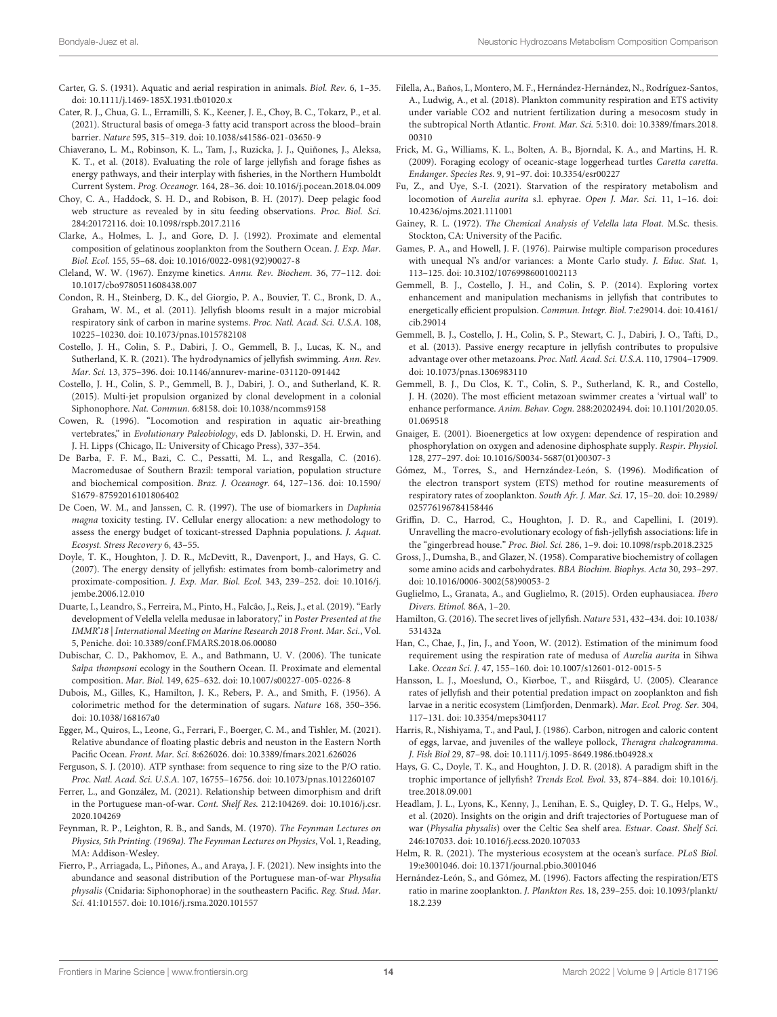- <span id="page-13-41"></span>Carter, G. S. (1931). Aquatic and aerial respiration in animals. Biol. Rev. 6, 1–35. [doi: 10.1111/j.1469-185X.1931.tb01020.x](https://doi.org/10.1111/j.1469-185X.1931.tb01020.x)
- <span id="page-13-36"></span>Cater, R. J., Chua, G. L., Erramilli, S. K., Keener, J. E., Choy, B. C., Tokarz, P., et al. (2021). Structural basis of omega-3 fatty acid transport across the blood–brain barrier. Nature 595, 315–319. [doi: 10.1038/s41586-021-03650-9](https://doi.org/10.1038/s41586-021-03650-9)
- <span id="page-13-0"></span>Chiaverano, L. M., Robinson, K. L., Tam, J., Ruzicka, J. J., Quiñones, J., Aleksa, K. T., et al. (2018). Evaluating the role of large jellyfish and forage fishes as energy pathways, and their interplay with fisheries, in the Northern Humboldt Current System. Prog. Oceanogr. 164, 28–36. [doi: 10.1016/j.pocean.2018.04.009](https://doi.org/10.1016/j.pocean.2018.04.009)
- <span id="page-13-1"></span>Choy, C. A., Haddock, S. H. D., and Robison, B. H. (2017). Deep pelagic food web structure as revealed by in situ feeding observations. Proc. Biol. Sci. 284:20172116. [doi: 10.1098/rspb.2017.2116](https://doi.org/10.1098/rspb.2017.2116)
- <span id="page-13-26"></span>Clarke, A., Holmes, L. J., and Gore, D. J. (1992). Proximate and elemental composition of gelatinous zooplankton from the Southern Ocean. J. Exp. Mar. Biol. Ecol. 155, 55–68. [doi: 10.1016/0022-0981\(92\)90027-8](https://doi.org/10.1016/0022-0981(92)90027-8)
- <span id="page-13-30"></span>Cleland, W. W. (1967). Enzyme kinetics. Annu. Rev. Biochem. 36, 77–112. [doi:](https://doi.org/10.1017/cbo9780511608438.007) [10.1017/cbo9780511608438.007](https://doi.org/10.1017/cbo9780511608438.007)
- <span id="page-13-6"></span>Condon, R. H., Steinberg, D. K., del Giorgio, P. A., Bouvier, T. C., Bronk, D. A., Graham, W. M., et al. (2011). Jellyfish blooms result in a major microbial respiratory sink of carbon in marine systems. Proc. Natl. Acad. Sci. U.S.A. 108, 10225–10230. [doi: 10.1073/pnas.1015782108](https://doi.org/10.1073/pnas.1015782108)
- <span id="page-13-12"></span>Costello, J. H., Colin, S. P., Dabiri, J. O., Gemmell, B. J., Lucas, K. N., and Sutherland, K. R. (2021). The hydrodynamics of jellyfish swimming. Ann. Rev. Mar. Sci. 13, 375–396. [doi: 10.1146/annurev-marine-031120-091442](https://doi.org/10.1146/annurev-marine-031120-091442)
- <span id="page-13-40"></span>Costello, J. H., Colin, S. P., Gemmell, B. J., Dabiri, J. O., and Sutherland, K. R. (2015). Multi-jet propulsion organized by clonal development in a colonial Siphonophore. Nat. Commun. 6:8158. [doi: 10.1038/ncomms9158](https://doi.org/10.1038/ncomms9158)
- <span id="page-13-17"></span>Cowen, R. (1996). "Locomotion and respiration in aquatic air-breathing vertebrates," in Evolutionary Paleobiology, eds D. Jablonski, D. H. Erwin, and J. H. Lipps (Chicago, IL: University of Chicago Press), 337–354.
- <span id="page-13-34"></span>De Barba, F. F. M., Bazi, C. C., Pessatti, M. L., and Resgalla, C. (2016). Macromedusae of Southern Brazil: temporal variation, population structure and biochemical composition. Braz. J. Oceanogr. 64, 127–136. [doi: 10.1590/](https://doi.org/10.1590/S1679-87592016101806402) [S1679-87592016101806402](https://doi.org/10.1590/S1679-87592016101806402)
- <span id="page-13-23"></span>De Coen, W. M., and Janssen, C. R. (1997). The use of biomarkers in Daphnia magna toxicity testing. IV. Cellular energy allocation: a new methodology to assess the energy budget of toxicant-stressed Daphnia populations. J. Aquat. Ecosyst. Stress Recovery 6, 43–55.
- <span id="page-13-25"></span>Doyle, T. K., Houghton, J. D. R., McDevitt, R., Davenport, J., and Hays, G. C. (2007). The energy density of jellyfish: estimates from bomb-calorimetry and proximate-composition. J. Exp. Mar. Biol. Ecol. 343, 239–252. [doi: 10.1016/j.](https://doi.org/10.1016/j.jembe.2006.12.010) [jembe.2006.12.010](https://doi.org/10.1016/j.jembe.2006.12.010)
- <span id="page-13-16"></span>Duarte, I., Leandro, S., Ferreira, M., Pinto, H., Falcão, J., Reis, J., et al. (2019). "Early development of Velella velella medusae in laboratory," in Poster Presented at the IMMR'18 | International Meeting on Marine Research 2018 Front. Mar. Sci., Vol. 5, Peniche. [doi: 10.3389/conf.FMARS.2018.06.00080](https://doi.org/10.3389/conf.FMARS.2018.06.00080)
- <span id="page-13-33"></span>Dubischar, C. D., Pakhomov, E. A., and Bathmann, U. V. (2006). The tunicate Salpa thompsoni ecology in the Southern Ocean. II. Proximate and elemental composition. Mar. Biol. 149, 625–632. [doi: 10.1007/s00227-005-0226-8](https://doi.org/10.1007/s00227-005-0226-8)
- <span id="page-13-24"></span>Dubois, M., Gilles, K., Hamilton, J. K., Rebers, P. A., and Smith, F. (1956). A colorimetric method for the determination of sugars. Nature 168, 350–356. [doi: 10.1038/168167a0](https://doi.org/10.1038/168167a0)
- <span id="page-13-3"></span>Egger, M., Quiros, L., Leone, G., Ferrari, F., Boerger, C. M., and Tishler, M. (2021). Relative abundance of floating plastic debris and neuston in the Eastern North Pacific Ocean. Front. Mar. Sci. 8:626026. [doi: 10.3389/fmars.2021.626026](https://doi.org/10.3389/fmars.2021.626026)
- <span id="page-13-28"></span>Ferguson, S. J. (2010). ATP synthase: from sequence to ring size to the P/O ratio. Proc. Natl. Acad. Sci. U.S.A. 107, 16755–16756. [doi: 10.1073/pnas.1012260107](https://doi.org/10.1073/pnas.1012260107)
- <span id="page-13-13"></span>Ferrer, L., and González, M. (2021). Relationship between dimorphism and drift in the Portuguese man-of-war. Cont. Shelf Res. 212:104269. [doi: 10.1016/j.csr.](https://doi.org/10.1016/j.csr.2020.104269) [2020.104269](https://doi.org/10.1016/j.csr.2020.104269)
- <span id="page-13-27"></span>Feynman, R. P., Leighton, R. B., and Sands, M. (1970). The Feynman Lectures on Physics, 5th Printing. (1969a). The Feynman Lectures on Physics, Vol. 1, Reading, MA: Addison-Wesley.
- <span id="page-13-15"></span>Fierro, P., Arriagada, L., Piñones, A., and Araya, J. F. (2021). New insights into the abundance and seasonal distribution of the Portuguese man-of-war Physalia physalis (Cnidaria: Siphonophorae) in the southeastern Pacific. Reg. Stud. Mar. Sci. 41:101557. [doi: 10.1016/j.rsma.2020.101557](https://doi.org/10.1016/j.rsma.2020.101557)
- <span id="page-13-38"></span>Filella, A., Baños, I., Montero, M. F., Hernández-Hernández, N., Rodríguez-Santos, A., Ludwig, A., et al. (2018). Plankton community respiration and ETS activity under variable CO2 and nutrient fertilization during a mesocosm study in the subtropical North Atlantic. Front. Mar. Sci. 5:310. [doi: 10.3389/fmars.2018.](https://doi.org/10.3389/fmars.2018.00310) [00310](https://doi.org/10.3389/fmars.2018.00310)
- <span id="page-13-8"></span>Frick, M. G., Williams, K. L., Bolten, A. B., Bjorndal, K. A., and Martins, H. R. (2009). Foraging ecology of oceanic-stage loggerhead turtles Caretta caretta. Endanger. Species Res. 9, 91–97. [doi: 10.3354/esr00227](https://doi.org/10.3354/esr00227)
- <span id="page-13-19"></span>Fu, Z., and Uye, S.-I. (2021). Starvation of the respiratory metabolism and locomotion of Aurelia aurita s.l. ephyrae. Open J. Mar. Sci. 11, 1–16. [doi:](https://doi.org/10.4236/ojms.2021.111001) [10.4236/ojms.2021.111001](https://doi.org/10.4236/ojms.2021.111001)
- <span id="page-13-35"></span>Gainey, R. L. (1972). The Chemical Analysis of Velella lata Float. M.Sc. thesis. Stockton, CA: University of the Pacific.
- <span id="page-13-29"></span>Games, P. A., and Howell, J. F. (1976). Pairwise multiple comparison procedures with unequal N's and/or variances: a Monte Carlo study. J. Educ. Stat. 1, 113–125. [doi: 10.3102/10769986001002113](https://doi.org/10.3102/10769986001002113)
- <span id="page-13-10"></span>Gemmell, B. J., Costello, J. H., and Colin, S. P. (2014). Exploring vortex enhancement and manipulation mechanisms in jellyfish that contributes to energetically efficient propulsion. Commun. Integr. Biol. 7:e29014. [doi: 10.4161/](https://doi.org/10.4161/cib.29014) [cib.29014](https://doi.org/10.4161/cib.29014)
- <span id="page-13-18"></span>Gemmell, B. J., Costello, J. H., Colin, S. P., Stewart, C. J., Dabiri, J. O., Tafti, D., et al. (2013). Passive energy recapture in jellyfish contributes to propulsive advantage over other metazoans. Proc. Natl. Acad. Sci. U.S.A. 110, 17904–17909. [doi: 10.1073/pnas.1306983110](https://doi.org/10.1073/pnas.1306983110)
- <span id="page-13-11"></span>Gemmell, B. J., Du Clos, K. T., Colin, S. P., Sutherland, K. R., and Costello, J. H. (2020). The most efficient metazoan swimmer creates a 'virtual wall' to enhance performance. Anim. Behav. Cogn. 288:20202494. [doi: 10.1101/2020.05.](https://doi.org/10.1101/2020.05.01.069518) [01.069518](https://doi.org/10.1101/2020.05.01.069518)
- <span id="page-13-39"></span>Gnaiger, E. (2001). Bioenergetics at low oxygen: dependence of respiration and phosphorylation on oxygen and adenosine diphosphate supply. Respir. Physiol. 128, 277–297. [doi: 10.1016/S0034-5687\(01\)00307-3](https://doi.org/10.1016/S0034-5687(01)00307-3)
- <span id="page-13-22"></span>Gómez, M., Torres, S., and Hernzández-León, S. (1996). Modification of the electron transport system (ETS) method for routine measurements of respiratory rates of zooplankton. South Afr. J. Mar. Sci. 17, 15–20. [doi: 10.2989/](https://doi.org/10.2989/025776196784158446) [025776196784158446](https://doi.org/10.2989/025776196784158446)
- <span id="page-13-9"></span>Griffin, D. C., Harrod, C., Houghton, J. D. R., and Capellini, I. (2019). Unravelling the macro-evolutionary ecology of fish-jellyfish associations: life in the "gingerbread house." Proc. Biol. Sci. 286, 1–9. [doi: 10.1098/rspb.2018.2325](https://doi.org/10.1098/rspb.2018.2325)
- <span id="page-13-37"></span>Gross, J., Dumsha, B., and Glazer, N. (1958). Comparative biochemistry of collagen some amino acids and carbohydrates. BBA Biochim. Biophys. Acta 30, 293–297. [doi: 10.1016/0006-3002\(58\)90053-2](https://doi.org/10.1016/0006-3002(58)90053-2)
- <span id="page-13-32"></span>Guglielmo, L., Granata, A., and Guglielmo, R. (2015). Orden euphausiacea. Ibero Divers. Etimol. 86A, 1–20.
- <span id="page-13-20"></span>Hamilton, G. (2016). The secret lives of jellyfish. Nature 531, 432–434. [doi: 10.1038/](https://doi.org/10.1038/531432a) [531432a](https://doi.org/10.1038/531432a)
- <span id="page-13-5"></span>Han, C., Chae, J., Jin, J., and Yoon, W. (2012). Estimation of the minimum food requirement using the respiration rate of medusa of Aurelia aurita in Sihwa Lake. Ocean Sci. J. 47, 155–160. [doi: 10.1007/s12601-012-0015-5](https://doi.org/10.1007/s12601-012-0015-5)
- <span id="page-13-4"></span>Hansson, L. J., Moeslund, O., Kiørboe, T., and Riisgård, U. (2005). Clearance rates of jellyfish and their potential predation impact on zooplankton and fish larvae in a neritic ecosystem (Limfjorden, Denmark). Mar. Ecol. Prog. Ser. 304, 117–131. [doi: 10.3354/meps304117](https://doi.org/10.3354/meps304117)
- <span id="page-13-31"></span>Harris, R., Nishiyama, T., and Paul, J. (1986). Carbon, nitrogen and caloric content of eggs, larvae, and juveniles of the walleye pollock, Theragra chalcogramma. J. Fish Biol 29, 87–98. [doi: 10.1111/j.1095-8649.1986.tb04928.x](https://doi.org/10.1111/j.1095-8649.1986.tb04928.x)
- <span id="page-13-7"></span>Hays, G. C., Doyle, T. K., and Houghton, J. D. R. (2018). A paradigm shift in the trophic importance of jellyfish? Trends Ecol. Evol. 33, 874–884. [doi: 10.1016/j.](https://doi.org/10.1016/j.tree.2018.09.001) [tree.2018.09.001](https://doi.org/10.1016/j.tree.2018.09.001)
- <span id="page-13-14"></span>Headlam, J. L., Lyons, K., Kenny, J., Lenihan, E. S., Quigley, D. T. G., Helps, W., et al. (2020). Insights on the origin and drift trajectories of Portuguese man of war (Physalia physalis) over the Celtic Sea shelf area. Estuar. Coast. Shelf Sci. 246:107033. [doi: 10.1016/j.ecss.2020.107033](https://doi.org/10.1016/j.ecss.2020.107033)
- <span id="page-13-2"></span>Helm, R. R. (2021). The mysterious ecosystem at the ocean's surface. PLoS Biol. 19:e3001046. [doi: 10.1371/journal.pbio.3001046](https://doi.org/10.1371/journal.pbio.3001046)
- <span id="page-13-21"></span>Hernández-León, S., and Gómez, M. (1996). Factors affecting the respiration/ETS ratio in marine zooplankton. J. Plankton Res. 18, 239–255. [doi: 10.1093/plankt/](https://doi.org/10.1093/plankt/18.2.239) [18.2.239](https://doi.org/10.1093/plankt/18.2.239)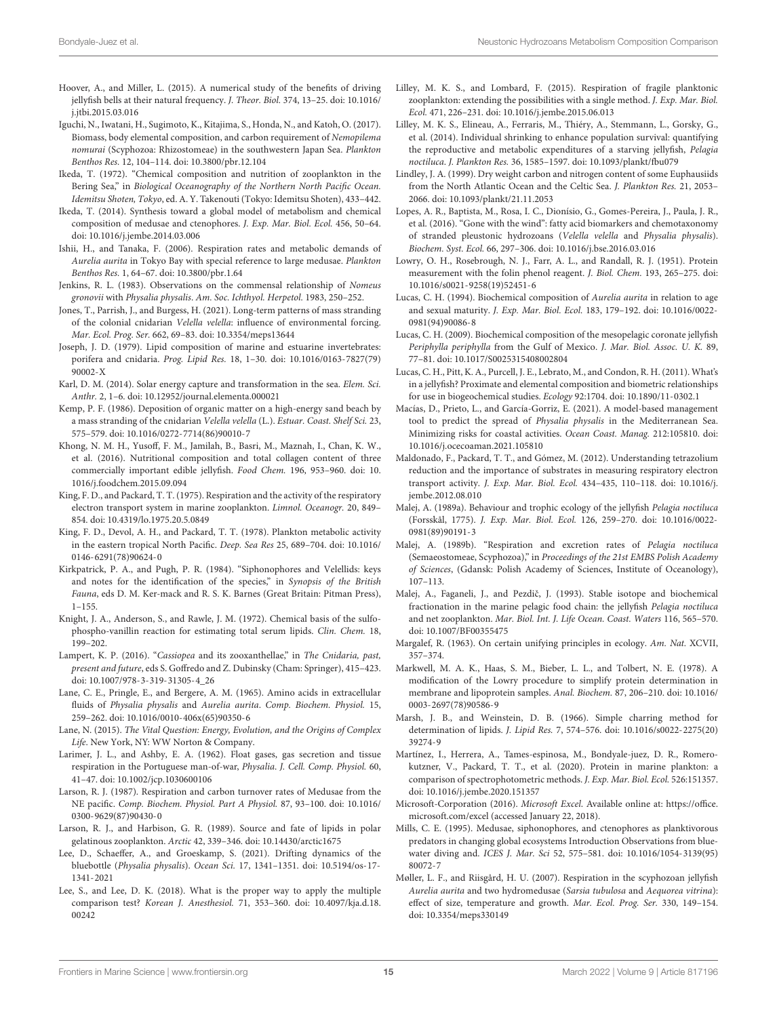- <span id="page-14-7"></span>Hoover, A., and Miller, L. (2015). A numerical study of the benefits of driving jellyfish bells at their natural frequency. J. Theor. Biol. 374, 13–25. [doi: 10.1016/](https://doi.org/10.1016/j.jtbi.2015.03.016) [j.jtbi.2015.03.016](https://doi.org/10.1016/j.jtbi.2015.03.016)
- <span id="page-14-2"></span>Iguchi, N., Iwatani, H., Sugimoto, K., Kitajima, S., Honda, N., and Katoh, O. (2017). Biomass, body elemental composition, and carbon requirement of Nemopilema nomurai (Scyphozoa: Rhizostomeae) in the southwestern Japan Sea. Plankton Benthos Res. 12, 104–114. [doi: 10.3800/pbr.12.104](https://doi.org/10.3800/pbr.12.104)
- <span id="page-14-35"></span>Ikeda, T. (1972). "Chemical composition and nutrition of zooplankton in the Bering Sea," in Biological Oceanography of the Northern North Pacific Ocean. Idemitsu Shoten, Tokyo, ed. A. Y. Takenouti (Tokyo: Idemitsu Shoten), 433–442.
- <span id="page-14-27"></span>Ikeda, T. (2014). Synthesis toward a global model of metabolism and chemical composition of medusae and ctenophores. J. Exp. Mar. Biol. Ecol. 456, 50–64. [doi: 10.1016/j.jembe.2014.03.006](https://doi.org/10.1016/j.jembe.2014.03.006)
- <span id="page-14-1"></span>Ishii, H., and Tanaka, F. (2006). Respiration rates and metabolic demands of Aurelia aurita in Tokyo Bay with special reference to large medusae. Plankton Benthos Res. 1, 64–67. [doi: 10.3800/pbr.1.64](https://doi.org/10.3800/pbr.1.64)
- <span id="page-14-6"></span>Jenkins, R. L. (1983). Observations on the commensal relationship of Nomeus gronovii with Physalia physalis. Am. Soc. Ichthyol. Herpetol. 1983, 250–252.
- <span id="page-14-9"></span>Jones, T., Parrish, J., and Burgess, H. (2021). Long-term patterns of mass stranding of the colonial cnidarian Velella velella: influence of environmental forcing. Mar. Ecol. Prog. Ser. 662, 69–83. [doi: 10.3354/meps13644](https://doi.org/10.3354/meps13644)
- <span id="page-14-39"></span>Joseph, J. D. (1979). Lipid composition of marine and estuarine invertebrates: porifera and cnidaria. Prog. Lipid Res. 18, 1–30. [doi: 10.1016/0163-7827\(79\)](https://doi.org/10.1016/0163-7827(79)90002-X) [90002-X](https://doi.org/10.1016/0163-7827(79)90002-X)
- <span id="page-14-30"></span>Karl, D. M. (2014). Solar energy capture and transformation in the sea. Elem. Sci. Anthr. 2, 1–6. [doi: 10.12952/journal.elementa.000021](https://doi.org/10.12952/journal.elementa.000021)
- <span id="page-14-28"></span>Kemp, P. F. (1986). Deposition of organic matter on a high-energy sand beach by a mass stranding of the cnidarian Velella velella (L.). Estuar. Coast. Shelf Sci. 23, 575–579. [doi: 10.1016/0272-7714\(86\)90010-7](https://doi.org/10.1016/0272-7714(86)90010-7)
- <span id="page-14-36"></span>Khong, N. M. H., Yusoff, F. M., Jamilah, B., Basri, M., Maznah, I., Chan, K. W., et al. (2016). Nutritional composition and total collagen content of three commercially important edible jellyfish. Food Chem. 196, 953–960. [doi: 10.](https://doi.org/10.1016/j.foodchem.2015.09.094) [1016/j.foodchem.2015.09.094](https://doi.org/10.1016/j.foodchem.2015.09.094)
- <span id="page-14-41"></span>King, F. D., and Packard, T. T. (1975). Respiration and the activity of the respiratory electron transport system in marine zooplankton. Limnol. Oceanogr. 20, 849– 854. [doi: 10.4319/lo.1975.20.5.0849](https://doi.org/10.4319/lo.1975.20.5.0849)
- <span id="page-14-12"></span>King, F. D., Devol, A. H., and Packard, T. T. (1978). Plankton metabolic activity in the eastern tropical North Pacific. Deep. Sea Res 25, 689–704. [doi: 10.1016/](https://doi.org/10.1016/0146-6291(78)90624-0) [0146-6291\(78\)90624-0](https://doi.org/10.1016/0146-6291(78)90624-0)
- <span id="page-14-33"></span>Kirkpatrick, P. A., and Pugh, P. R. (1984). "Siphonophores and Velellids: keys and notes for the identification of the species," in Synopsis of the British Fauna, eds D. M. Ker-mack and R. S. K. Barnes (Great Britain: Pitman Press), 1–155.
- <span id="page-14-18"></span>Knight, J. A., Anderson, S., and Rawle, J. M. (1972). Chemical basis of the sulfophospho-vanillin reaction for estimating total serum lipids. Clin. Chem. 18, 199–202.
- <span id="page-14-42"></span>Lampert, K. P. (2016). "Cassiopea and its zooxanthellae," in The Cnidaria, past, present and future, eds S. Goffredo and Z. Dubinsky (Cham: Springer), 415–423. [doi: 10.1007/978-3-319-31305-4\\_26](https://doi.org/10.1007/978-3-319-31305-4_26)
- <span id="page-14-37"></span>Lane, C. E., Pringle, E., and Bergere, A. M. (1965). Amino acids in extracellular fluids of Physalia physalis and Aurelia aurita. Comp. Biochem. Physiol. 15, 259–262. [doi: 10.1016/0010-406x\(65\)90350-6](https://doi.org/10.1016/0010-406x(65)90350-6)
- <span id="page-14-32"></span>Lane, N. (2015). The Vital Question: Energy, Evolution, and the Origins of Complex Life. New York, NY: WW Norton & Company.
- <span id="page-14-23"></span>Larimer, J. L., and Ashby, E. A. (1962). Float gases, gas secretion and tissue respiration in the Portuguese man-of-war, Physalia. J. Cell. Comp. Physiol. 60, 41–47. [doi: 10.1002/jcp.1030600106](https://doi.org/10.1002/jcp.1030600106)
- <span id="page-14-0"></span>Larson, R. J. (1987). Respiration and carbon turnover rates of Medusae from the NE pacific. Comp. Biochem. Physiol. Part A Physiol. 87, 93–100. [doi: 10.1016/](https://doi.org/10.1016/0300-9629(87)90430-0) [0300-9629\(87\)90430-0](https://doi.org/10.1016/0300-9629(87)90430-0)
- <span id="page-14-40"></span>Larson, R. J., and Harbison, G. R. (1989). Source and fate of lipids in polar gelatinous zooplankton. Arctic 42, 339–346. [doi: 10.14430/arctic1675](https://doi.org/10.14430/arctic1675)
- <span id="page-14-8"></span>Lee, D., Schaeffer, A., and Groeskamp, S. (2021). Drifting dynamics of the bluebottle (Physalia physalis). Ocean Sci. 17, 1341–1351. [doi: 10.5194/os-17-](https://doi.org/10.5194/os-17-1341-2021) [1341-2021](https://doi.org/10.5194/os-17-1341-2021)
- <span id="page-14-20"></span>Lee, S., and Lee, D. K. (2018). What is the proper way to apply the multiple comparison test? Korean J. Anesthesiol. 71, 353–360. [doi: 10.4097/kja.d.18.](https://doi.org/10.4097/kja.d.18.00242) [00242](https://doi.org/10.4097/kja.d.18.00242)
- <span id="page-14-11"></span>Lilley, M. K. S., and Lombard, F. (2015). Respiration of fragile planktonic zooplankton: extending the possibilities with a single method. J. Exp. Mar. Biol. Ecol. 471, 226–231. [doi: 10.1016/j.jembe.2015.06.013](https://doi.org/10.1016/j.jembe.2015.06.013)
- <span id="page-14-5"></span>Lilley, M. K. S., Elineau, A., Ferraris, M., Thiéry, A., Stemmann, L., Gorsky, G., et al. (2014). Individual shrinking to enhance population survival: quantifying the reproductive and metabolic expenditures of a starving jellyfish, Pelagia noctiluca. J. Plankton Res. 36, 1585–1597. [doi: 10.1093/plankt/fbu079](https://doi.org/10.1093/plankt/fbu079)
- <span id="page-14-29"></span>Lindley, J. A. (1999). Dry weight carbon and nitrogen content of some Euphausiids from the North Atlantic Ocean and the Celtic Sea. J. Plankton Res. 21, 2053– 2066. [doi: 10.1093/plankt/21.11.2053](https://doi.org/10.1093/plankt/21.11.2053)
- <span id="page-14-38"></span>Lopes, A. R., Baptista, M., Rosa, I. C., Dionísio, G., Gomes-Pereira, J., Paula, J. R., et al. (2016). "Gone with the wind": fatty acid biomarkers and chemotaxonomy of stranded pleustonic hydrozoans (Velella velella and Physalia physalis). Biochem. Syst. Ecol. 66, 297–306. [doi: 10.1016/j.bse.2016.03.016](https://doi.org/10.1016/j.bse.2016.03.016)
- <span id="page-14-14"></span>Lowry, O. H., Rosebrough, N. J., Farr, A. L., and Randall, R. J. (1951). Protein measurement with the folin phenol reagent. J. Biol. Chem. 193, 265–275. [doi:](https://doi.org/10.1016/s0021-9258(19)52451-6) [10.1016/s0021-9258\(19\)52451-6](https://doi.org/10.1016/s0021-9258(19)52451-6)
- <span id="page-14-25"></span>Lucas, C. H. (1994). Biochemical composition of Aurelia aurita in relation to age and sexual maturity. J. Exp. Mar. Biol. Ecol. 183, 179–192. [doi: 10.1016/0022-](https://doi.org/10.1016/0022-0981(94)90086-8) [0981\(94\)90086-8](https://doi.org/10.1016/0022-0981(94)90086-8)
- <span id="page-14-34"></span>Lucas, C. H. (2009). Biochemical composition of the mesopelagic coronate jellyfish Periphylla periphylla from the Gulf of Mexico. J. Mar. Biol. Assoc. U. K. 89, 77–81. [doi: 10.1017/S0025315408002804](https://doi.org/10.1017/S0025315408002804)
- <span id="page-14-26"></span>Lucas, C. H., Pitt, K. A., Purcell, J. E., Lebrato, M., and Condon, R. H. (2011). What's in a jellyfish? Proximate and elemental composition and biometric relationships for use in biogeochemical studies. Ecology 92:1704. [doi: 10.1890/11-0302.1](https://doi.org/10.1890/11-0302.1)
- <span id="page-14-10"></span>Macías, D., Prieto, L., and García-Gorriz, E. (2021). A model-based management tool to predict the spread of Physalia physalis in the Mediterranean Sea. Minimizing risks for coastal activities. Ocean Coast. Manag. 212:105810. [doi:](https://doi.org/10.1016/j.ocecoaman.2021.105810) [10.1016/j.ocecoaman.2021.105810](https://doi.org/10.1016/j.ocecoaman.2021.105810)
- <span id="page-14-13"></span>Maldonado, F., Packard, T. T., and Gómez, M. (2012). Understanding tetrazolium reduction and the importance of substrates in measuring respiratory electron transport activity. J. Exp. Mar. Biol. Ecol. 434–435, 110–118. [doi: 10.1016/j.](https://doi.org/10.1016/j.jembe.2012.08.010) [jembe.2012.08.010](https://doi.org/10.1016/j.jembe.2012.08.010)
- <span id="page-14-3"></span>Malej, A. (1989a). Behaviour and trophic ecology of the jellyfish Pelagia noctiluca (Forsskål, 1775). J. Exp. Mar. Biol. Ecol. 126, 259–270. [doi: 10.1016/0022-](https://doi.org/10.1016/0022-0981(89)90191-3) [0981\(89\)90191-3](https://doi.org/10.1016/0022-0981(89)90191-3)
- <span id="page-14-22"></span>Malej, A. (1989b). "Respiration and excretion rates of Pelagia noctiluca (Semaeostomeae, Scyphozoa)," in Proceedings of the 21st EMBS Polish Academy of Sciences, (Gdansk: Polish Academy of Sciences, Institute of Oceanology), 107–113.
- <span id="page-14-24"></span>Malej, A., Faganeli, J., and Pezdič, J. (1993). Stable isotope and biochemical fractionation in the marine pelagic food chain: the jellyfish Pelagia noctiluca and net zooplankton. Mar. Biol. Int. J. Life Ocean. Coast. Waters 116, 565–570. [doi: 10.1007/BF00355475](https://doi.org/10.1007/BF00355475)
- <span id="page-14-31"></span>Margalef, R. (1963). On certain unifying principles in ecology. Am. Nat. XCVII, 357–374.
- <span id="page-14-15"></span>Markwell, M. A. K., Haas, S. M., Bieber, L. L., and Tolbert, N. E. (1978). A modification of the Lowry procedure to simplify protein determination in membrane and lipoprotein samples. Anal. Biochem. 87, 206–210. [doi: 10.1016/](https://doi.org/10.1016/0003-2697(78)90586-9) [0003-2697\(78\)90586-9](https://doi.org/10.1016/0003-2697(78)90586-9)
- <span id="page-14-17"></span>Marsh, J. B., and Weinstein, D. B. (1966). Simple charring method for determination of lipids. J. Lipid Res. 7, 574–576. [doi: 10.1016/s0022-2275\(20\)](https://doi.org/10.1016/s0022-2275(20)39274-9) [39274-9](https://doi.org/10.1016/s0022-2275(20)39274-9)
- <span id="page-14-16"></span>Martínez, I., Herrera, A., Tames-espinosa, M., Bondyale-juez, D. R., Romerokutzner, V., Packard, T. T., et al. (2020). Protein in marine plankton: a comparison of spectrophotometric methods. J. Exp. Mar. Biol. Ecol. 526:151357. [doi: 10.1016/j.jembe.2020.151357](https://doi.org/10.1016/j.jembe.2020.151357)
- <span id="page-14-19"></span>Microsoft-Corporation (2016). Microsoft Excel. Available online at: [https://office.](https://office.microsoft.com/excel) [microsoft.com/excel](https://office.microsoft.com/excel) (accessed January 22, 2018).
- <span id="page-14-4"></span>Mills, C. E. (1995). Medusae, siphonophores, and ctenophores as planktivorous predators in changing global ecosystems Introduction Observations from bluewater diving and. ICES J. Mar. Sci 52, 575–581. [doi: 10.1016/1054-3139\(95\)](https://doi.org/10.1016/1054-3139(95)80072-7) [80072-7](https://doi.org/10.1016/1054-3139(95)80072-7)
- <span id="page-14-21"></span>Møller, L. F., and Riisgård, H. U. (2007). Respiration in the scyphozoan jellyfish Aurelia aurita and two hydromedusae (Sarsia tubulosa and Aequorea vitrina): effect of size, temperature and growth. Mar. Ecol. Prog. Ser. 330, 149–154. [doi: 10.3354/meps330149](https://doi.org/10.3354/meps330149)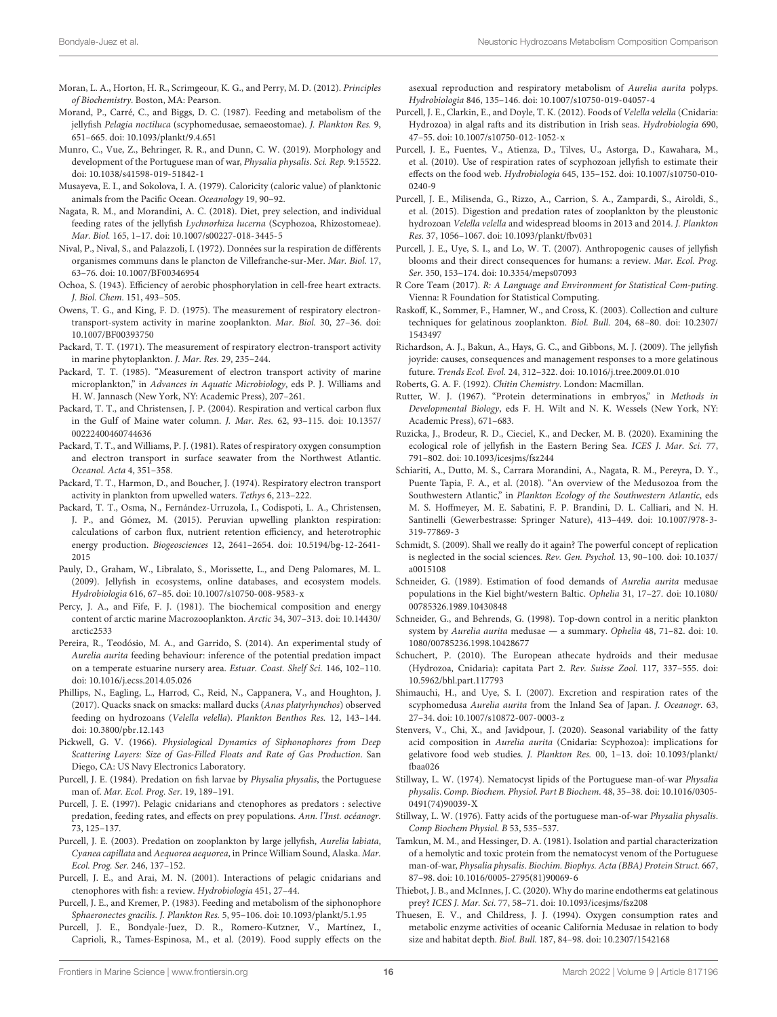- <span id="page-15-31"></span>Moran, L. A., Horton, H. R., Scrimgeour, K. G., and Perry, M. D. (2012). Principles of Biochemistry. Boston, MA: Pearson.
- <span id="page-15-7"></span>Morand, P., Carré, C., and Biggs, D. C. (1987). Feeding and metabolism of the jellyfish Pelagia noctiluca (scyphomedusae, semaeostomae). J. Plankton Res. 9, 651–665. [doi: 10.1093/plankt/9.4.651](https://doi.org/10.1093/plankt/9.4.651)
- <span id="page-15-17"></span>Munro, C., Vue, Z., Behringer, R. R., and Dunn, C. W. (2019). Morphology and development of the Portuguese man of war, Physalia physalis. Sci. Rep. 9:15522. [doi: 10.1038/s41598-019-51842-1](https://doi.org/10.1038/s41598-019-51842-1)
- <span id="page-15-42"></span>Musayeva, E. I., and Sokolova, I. A. (1979). Caloricity (caloric value) of planktonic animals from the Pacific Ocean. Oceanology 19, 90–92.
- <span id="page-15-9"></span>Nagata, R. M., and Morandini, A. C. (2018). Diet, prey selection, and individual feeding rates of the jellyfish Lychnorhiza lucerna (Scyphozoa, Rhizostomeae). Mar. Biol. 165, 1–17. [doi: 10.1007/s00227-018-3445-5](https://doi.org/10.1007/s00227-018-3445-5)
- <span id="page-15-44"></span>Nival, P., Nival, S., and Palazzoli, I. (1972). Données sur la respiration de différents organismes communs dans le plancton de Villefranche-sur-Mer. Mar. Biol. 17, 63–76. [doi: 10.1007/BF00346954](https://doi.org/10.1007/BF00346954)
- <span id="page-15-30"></span>Ochoa, S. (1943). Efficiency of aerobic phosphorylation in cell-free heart extracts. J. Biol. Chem. 151, 493–505.
- <span id="page-15-25"></span>Owens, T. G., and King, F. D. (1975). The measurement of respiratory electrontransport-system activity in marine zooplankton. Mar. Biol. 30, 27–36. [doi:](https://doi.org/10.1007/BF00393750) [10.1007/BF00393750](https://doi.org/10.1007/BF00393750)
- <span id="page-15-27"></span>Packard, T. T. (1971). The measurement of respiratory electron-transport activity in marine phytoplankton. J. Mar. Res. 29, 235–244.
- <span id="page-15-19"></span>Packard, T. T. (1985). "Measurement of electron transport activity of marine microplankton," in Advances in Aquatic Microbiology, eds P. J. Williams and H. W. Jannasch (New York, NY: Academic Press), 207–261.
- <span id="page-15-23"></span>Packard, T. T., and Christensen, J. P. (2004). Respiration and vertical carbon flux in the Gulf of Maine water column. J. Mar. Res. 62, 93–115. [doi: 10.1357/](https://doi.org/10.1357/00222400460744636) [00222400460744636](https://doi.org/10.1357/00222400460744636)
- <span id="page-15-43"></span>Packard, T. T., and Williams, P. J. (1981). Rates of respiratory oxygen consumption and electron transport in surface seawater from the Northwest Atlantic. Oceanol. Acta 4, 351–358.
- <span id="page-15-24"></span>Packard, T. T., Harmon, D., and Boucher, J. (1974). Respiratory electron transport activity in plankton from upwelled waters. Tethys 6, 213–222.
- <span id="page-15-21"></span>Packard, T. T., Osma, N., Fernández-Urruzola, I., Codispoti, L. A., Christensen, J. P., and Gómez, M. (2015). Peruvian upwelling plankton respiration: calculations of carbon flux, nutrient retention efficiency, and heterotrophic energy production. Biogeosciences 12, 2641–2654. [doi: 10.5194/bg-12-2641-](https://doi.org/10.5194/bg-12-2641-2015) [2015](https://doi.org/10.5194/bg-12-2641-2015)
- <span id="page-15-6"></span>Pauly, D., Graham, W., Libralato, S., Morissette, L., and Deng Palomares, M. L. (2009). Jellyfish in ecosystems, online databases, and ecosystem models. Hydrobiologia 616, 67–85. [doi: 10.1007/s10750-008-9583-x](https://doi.org/10.1007/s10750-008-9583-x)
- <span id="page-15-36"></span>Percy, J. A., and Fife, F. J. (1981). The biochemical composition and energy content of arctic marine Macrozooplankton. Arctic 34, 307–313. [doi: 10.14430/](https://doi.org/10.14430/arctic2533) [arctic2533](https://doi.org/10.14430/arctic2533)
- <span id="page-15-35"></span>Pereira, R., Teodósio, M. A., and Garrido, S. (2014). An experimental study of Aurelia aurita feeding behaviour: inference of the potential predation impact on a temperate estuarine nursery area. Estuar. Coast. Shelf Sci. 146, 102–110. [doi: 10.1016/j.ecss.2014.05.026](https://doi.org/10.1016/j.ecss.2014.05.026)
- <span id="page-15-16"></span>Phillips, N., Eagling, L., Harrod, C., Reid, N., Cappanera, V., and Houghton, J. (2017). Quacks snack on smacks: mallard ducks (Anas platyrhynchos) observed feeding on hydrozoans (Velella velella). Plankton Benthos Res. 12, 143–144. [doi: 10.3800/pbr.12.143](https://doi.org/10.3800/pbr.12.143)
- <span id="page-15-46"></span>Pickwell, G. V. (1966). Physiological Dynamics of Siphonophores from Deep Scattering Layers: Size of Gas-Filled Floats and Rate of Gas Production. San Diego, CA: US Navy Electronics Laboratory.
- <span id="page-15-1"></span>Purcell, J. E. (1984). Predation on fish larvae by Physalia physalis, the Portuguese man of. Mar. Ecol. Prog. Ser. 19, 189–191.
- <span id="page-15-2"></span>Purcell, J. E. (1997). Pelagic cnidarians and ctenophores as predators : selective predation, feeding rates, and effects on prey populations. Ann. l'Inst. océanogr. 73, 125–137.
- <span id="page-15-3"></span>Purcell, J. E. (2003). Predation on zooplankton by large jellyfish, Aurelia labiata, Cyanea capillata and Aequorea aequorea, in Prince William Sound, Alaska. Mar. Ecol. Prog. Ser. 246, 137–152.
- <span id="page-15-4"></span>Purcell, J. E., and Arai, M. N. (2001). Interactions of pelagic cnidarians and ctenophores with fish: a review. Hydrobiologia 451, 27–44.
- <span id="page-15-29"></span>Purcell, J. E., and Kremer, P. (1983). Feeding and metabolism of the siphonophore Sphaeronectes gracilis. J. Plankton Res. 5, 95–106. [doi: 10.1093/plankt/5.1.95](https://doi.org/10.1093/plankt/5.1.95)
- <span id="page-15-26"></span>Purcell, J. E., Bondyale-Juez, D. R., Romero-Kutzner, V., Martínez, I., Caprioli, R., Tames-Espinosa, M., et al. (2019). Food supply effects on the

asexual reproduction and respiratory metabolism of Aurelia aurita polyps. Hydrobiologia 846, 135–146. [doi: 10.1007/s10750-019-04057-4](https://doi.org/10.1007/s10750-019-04057-4)

- <span id="page-15-34"></span>Purcell, J. E., Clarkin, E., and Doyle, T. K. (2012). Foods of Velella velella (Cnidaria: Hydrozoa) in algal rafts and its distribution in Irish seas. Hydrobiologia 690, 47–55. [doi: 10.1007/s10750-012-1052-x](https://doi.org/10.1007/s10750-012-1052-x)
- <span id="page-15-14"></span>Purcell, J. E., Fuentes, V., Atienza, D., Tilves, U., Astorga, D., Kawahara, M., et al. (2010). Use of respiration rates of scyphozoan jellyfish to estimate their effects on the food web. Hydrobiologia 645, 135–152. [doi: 10.1007/s10750-010-](https://doi.org/10.1007/s10750-010-0240-9) [0240-9](https://doi.org/10.1007/s10750-010-0240-9)
- <span id="page-15-5"></span>Purcell, J. E., Milisenda, G., Rizzo, A., Carrion, S. A., Zampardi, S., Airoldi, S., et al. (2015). Digestion and predation rates of zooplankton by the pleustonic hydrozoan Velella velella and widespread blooms in 2013 and 2014. J. Plankton Res. 37, 1056–1067. [doi: 10.1093/plankt/fbv031](https://doi.org/10.1093/plankt/fbv031)
- <span id="page-15-12"></span>Purcell, J. E., Uye, S. I., and Lo, W. T. (2007). Anthropogenic causes of jellyfish blooms and their direct consequences for humans: a review. Mar. Ecol. Prog. Ser. 350, 153–174. [doi: 10.3354/meps07093](https://doi.org/10.3354/meps07093)
- <span id="page-15-32"></span>R Core Team (2017). R: A Language and Environment for Statistical Com-puting. Vienna: R Foundation for Statistical Computing.
- <span id="page-15-20"></span>Raskoff, K., Sommer, F., Hamner, W., and Cross, K. (2003). Collection and culture techniques for gelatinous zooplankton. Biol. Bull. 204, 68–80. [doi: 10.2307/](https://doi.org/10.2307/1543497) [1543497](https://doi.org/10.2307/1543497)
- <span id="page-15-13"></span>Richardson, A. J., Bakun, A., Hays, G. C., and Gibbons, M. J. (2009). The jellyfish joyride: causes, consequences and management responses to a more gelatinous future. Trends Ecol. Evol. 24, 312–322. [doi: 10.1016/j.tree.2009.01.010](https://doi.org/10.1016/j.tree.2009.01.010)
- <span id="page-15-38"></span><span id="page-15-28"></span>Roberts, G. A. F. (1992). Chitin Chemistry. London: Macmillan.
- Rutter, W. J. (1967). "Protein determinations in embryos," in Methods in Developmental Biology, eds F. H. Wilt and N. K. Wessels (New York, NY: Academic Press), 671–683.
- <span id="page-15-0"></span>Ruzicka, J., Brodeur, R. D., Cieciel, K., and Decker, M. B. (2020). Examining the ecological role of jellyfish in the Eastern Bering Sea. ICES J. Mar. Sci. 77, 791–802. [doi: 10.1093/icesjms/fsz244](https://doi.org/10.1093/icesjms/fsz244)
- <span id="page-15-11"></span>Schiariti, A., Dutto, M. S., Carrara Morandini, A., Nagata, R. M., Pereyra, D. Y., Puente Tapia, F. A., et al. (2018). "An overview of the Medusozoa from the Southwestern Atlantic," in Plankton Ecology of the Southwestern Atlantic, eds M. S. Hoffmeyer, M. E. Sabatini, F. P. Brandini, D. L. Calliari, and N. H. Santinelli (Gewerbestrasse: Springer Nature), 413–449. [doi: 10.1007/978-3-](https://doi.org/10.1007/978-3-319-77869-3) [319-77869-3](https://doi.org/10.1007/978-3-319-77869-3)
- <span id="page-15-45"></span>Schmidt, S. (2009). Shall we really do it again? The powerful concept of replication is neglected in the social sciences. Rev. Gen. Psychol. 13, 90–100. [doi: 10.1037/](https://doi.org/10.1037/a0015108) [a0015108](https://doi.org/10.1037/a0015108)
- <span id="page-15-8"></span>Schneider, G. (1989). Estimation of food demands of Aurelia aurita medusae populations in the Kiel bight/western Baltic. Ophelia 31, 17–27. [doi: 10.1080/](https://doi.org/10.1080/00785326.1989.10430848) [00785326.1989.10430848](https://doi.org/10.1080/00785326.1989.10430848)
- <span id="page-15-10"></span>Schneider, G., and Behrends, G. (1998). Top-down control in a neritic plankton system by Aurelia aurita medusae — a summary. Ophelia 48, 71–82. [doi: 10.](https://doi.org/10.1080/00785236.1998.10428677) [1080/00785236.1998.10428677](https://doi.org/10.1080/00785236.1998.10428677)
- <span id="page-15-18"></span>Schuchert, P. (2010). The European athecate hydroids and their medusae (Hydrozoa, Cnidaria): capitata Part 2. Rev. Suisse Zool. 117, 337–555. [doi:](https://doi.org/10.5962/bhl.part.117793) [10.5962/bhl.part.117793](https://doi.org/10.5962/bhl.part.117793)
- <span id="page-15-33"></span>Shimauchi, H., and Uye, S. I. (2007). Excretion and respiration rates of the scyphomedusa Aurelia aurita from the Inland Sea of Japan. J. Oceanogr. 63, 27–34. [doi: 10.1007/s10872-007-0003-z](https://doi.org/10.1007/s10872-007-0003-z)
- <span id="page-15-41"></span>Stenvers, V., Chi, X., and Javidpour, J. (2020). Seasonal variability of the fatty acid composition in Aurelia aurita (Cnidaria: Scyphozoa): implications for gelativore food web studies. J. Plankton Res. 00, 1–13. [doi: 10.1093/plankt/](https://doi.org/10.1093/plankt/fbaa026) [fbaa026](https://doi.org/10.1093/plankt/fbaa026)
- <span id="page-15-39"></span>Stillway, L. W. (1974). Nematocyst lipids of the Portuguese man-of-war Physalia physalis. Comp. Biochem. Physiol. Part B Biochem. 48, 35–38. [doi: 10.1016/0305-](https://doi.org/10.1016/0305-0491(74)90039-X) [0491\(74\)90039-X](https://doi.org/10.1016/0305-0491(74)90039-X)
- <span id="page-15-40"></span>Stillway, L. W. (1976). Fatty acids of the portuguese man-of-war Physalia physalis. Comp Biochem Physiol. B 53, 535–537.
- <span id="page-15-37"></span>Tamkun, M. M., and Hessinger, D. A. (1981). Isolation and partial characterization of a hemolytic and toxic protein from the nematocyst venom of the Portuguese man-of-war, Physalia physalis. Biochim. Biophys. Acta (BBA) Protein Struct. 667, 87–98. [doi: 10.1016/0005-2795\(81\)90069-6](https://doi.org/10.1016/0005-2795(81)90069-6)
- <span id="page-15-15"></span>Thiebot, J. B., and McInnes, J. C. (2020). Why do marine endotherms eat gelatinous prey? ICES J. Mar. Sci. 77, 58–71. [doi: 10.1093/icesjms/fsz208](https://doi.org/10.1093/icesjms/fsz208)
- <span id="page-15-22"></span>Thuesen, E. V., and Childress, J. J. (1994). Oxygen consumption rates and metabolic enzyme activities of oceanic California Medusae in relation to body size and habitat depth. Biol. Bull. 187, 84–98. [doi: 10.2307/1542168](https://doi.org/10.2307/1542168)